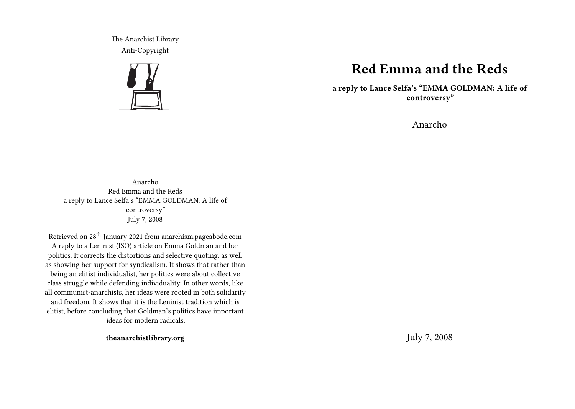The Anarchist Library Anti-Copyright



# **Red Emma and the Reds**

**a reply to Lance Selfa's "EMMA GOLDMAN: A life of controversy"**

Anarcho

Anarcho Red Emma and the Reds a reply to Lance Selfa's "EMMA GOLDMAN: A life of controversy" July 7, 2008

Retrieved on 28th January 2021 from anarchism.pageabode.com A reply to a Leninist (ISO) article on Emma Goldman and her politics. It corrects the distortions and selective quoting, as well as showing her support for syndicalism. It shows that rather than being an elitist individualist, her politics were about collective class struggle while defending individuality. In other words, like all communist-anarchists, her ideas were rooted in both solidarity and freedom. It shows that it is the Leninist tradition which is elitist, before concluding that Goldman's politics have important ideas for modern radicals.

**theanarchistlibrary.org**

July 7, 2008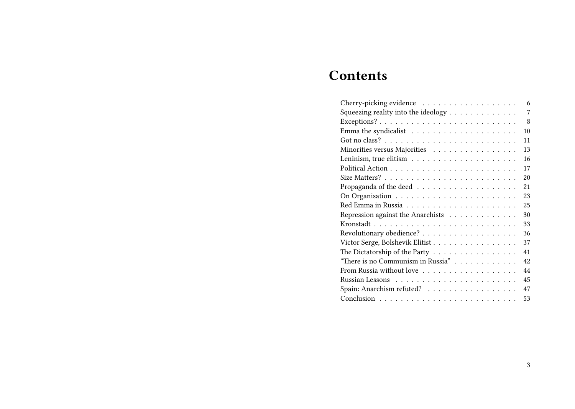# **Contents**

| Cherry-picking evidence<br>6             |
|------------------------------------------|
| Squeezing reality into the ideology<br>7 |
| 8                                        |
| 1 <sub>0</sub>                           |
| 11                                       |
| Minorities versus Majorities<br>13       |
| 16                                       |
| 17                                       |
| 20                                       |
| 21                                       |
| 23                                       |
| 25                                       |
| Repression against the Anarchists<br>30  |
| 33                                       |
| 36                                       |
| Victor Serge, Bolshevik Elitist<br>37    |
| The Dictatorship of the Party<br>41      |
| "There is no Communism in Russia"<br>42  |
| From Russia without love<br>44           |
| 45                                       |
| Spain: Anarchism refuted?<br>47          |
| 53                                       |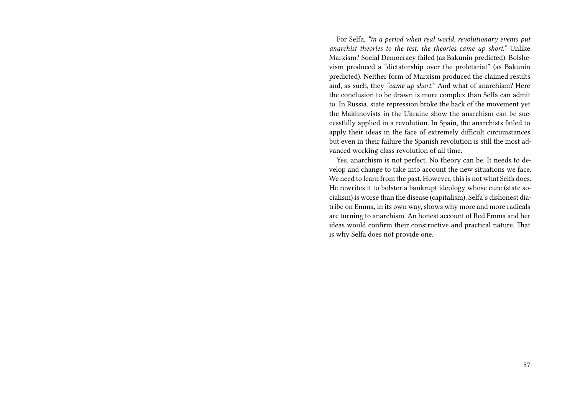For Selfa, *"in a period when real world, revolutionary events put anarchist theories to the test, the theories came up short."* Unlike Marxism? Social Democracy failed (as Bakunin predicted). Bolshevism produced a "dictatorship over the proletariat" (as Bakunin predicted). Neither form of Marxism produced the claimed results and, as such, they *"came up short."* And what of anarchism? Here the conclusion to be drawn is more complex than Selfa can admit to. In Russia, state repression broke the back of the movement yet the Makhnovists in the Ukraine show the anarchism can be successfully applied in a revolution. In Spain, the anarchists failed to apply their ideas in the face of extremely difficult circumstances but even in their failure the Spanish revolution is still the most advanced working class revolution of all time.

Yes, anarchism is not perfect. No theory can be. It needs to develop and change to take into account the new situations we face. We need to learn from the past. However, this is not what Selfa does. He rewrites it to bolster a bankrupt ideology whose cure (state socialism) is worse than the disease (capitalism). Selfa's dishonest diatribe on Emma, in its own way, shows why more and more radicals are turning to anarchism. An honest account of Red Emma and her ideas would confirm their constructive and practical nature. That is why Selfa does not provide one.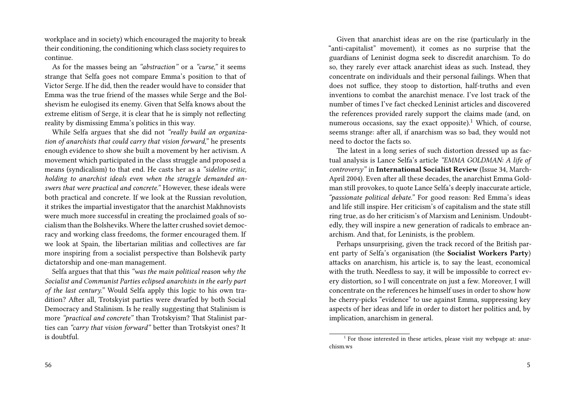workplace and in society) which encouraged the majority to break their conditioning, the conditioning which class society requires to continue.

As for the masses being an *"abstraction"* or a *"curse,"* it seems strange that Selfa goes not compare Emma's position to that of Victor Serge. If he did, then the reader would have to consider that Emma was the true friend of the masses while Serge and the Bolshevism he eulogised its enemy. Given that Selfa knows about the extreme elitism of Serge, it is clear that he is simply not reflecting reality by dismissing Emma's politics in this way.

While Selfa argues that she did not *"really build an organization of anarchists that could carry that vision forward,"* he presents enough evidence to show she built a movement by her activism. A movement which participated in the class struggle and proposed a means (syndicalism) to that end. He casts her as a *"sideline critic, holding to anarchist ideals even when the struggle demanded answers that were practical and concrete."* However, these ideals were both practical and concrete. If we look at the Russian revolution, it strikes the impartial investigator that the anarchist Makhnovists were much more successful in creating the proclaimed goals of socialism than the Bolsheviks. Where the latter crushed soviet democracy and working class freedoms, the former encouraged them. If we look at Spain, the libertarian militias and collectives are far more inspiring from a socialist perspective than Bolshevik party dictatorship and one-man management.

Selfa argues that that this *"was the main political reason why the Socialist and Communist Parties eclipsed anarchists in the early part of the last century."* Would Selfa apply this logic to his own tradition? After all, Trotskyist parties were dwarfed by both Social Democracy and Stalinism. Is he really suggesting that Stalinism is more *"practical and concrete"* than Trotskyism? That Stalinist parties can *"carry that vision forward"* better than Trotskyist ones? It is doubtful.

Given that anarchist ideas are on the rise (particularly in the "anti-capitalist" movement), it comes as no surprise that the guardians of Leninist dogma seek to discredit anarchism. To do so, they rarely ever attack anarchist ideas as such. Instead, they concentrate on individuals and their personal failings. When that does not suffice, they stoop to distortion, half-truths and even inventions to combat the anarchist menace. I've lost track of the number of times I've fact checked Leninist articles and discovered the references provided rarely support the claims made (and, on numerous occasions, say the exact opposite).<sup>1</sup> Which, of course, seems strange: after all, if anarchism was so bad, they would not need to doctor the facts so.

The latest in a long series of such distortion dressed up as factual analysis is Lance Selfa's article *"EMMA GOLDMAN: A life of controversy"* in **International Socialist Review** (Issue 34, March-April 2004). Even after all these decades, the anarchist Emma Goldman still provokes, to quote Lance Selfa's deeply inaccurate article, *"passionate political debate."* For good reason: Red Emma's ideas and life still inspire. Her criticism's of capitalism and the state still ring true, as do her criticism's of Marxism and Leninism. Undoubtedly, they will inspire a new generation of radicals to embrace anarchism. And that, for Leninists, is the problem.

Perhaps unsurprising, given the track record of the British parent party of Selfa's organisation (the **Socialist Workers Party**) attacks on anarchism, his article is, to say the least, economical with the truth. Needless to say, it will be impossible to correct every distortion, so I will concentrate on just a few. Moreover, I will concentrate on the references he himself uses in order to show how he cherry-picks "evidence" to use against Emma, suppressing key aspects of her ideas and life in order to distort her politics and, by implication, anarchism in general.

<sup>&</sup>lt;sup>1</sup> For those interested in these articles, please visit my webpage at: anarchism.ws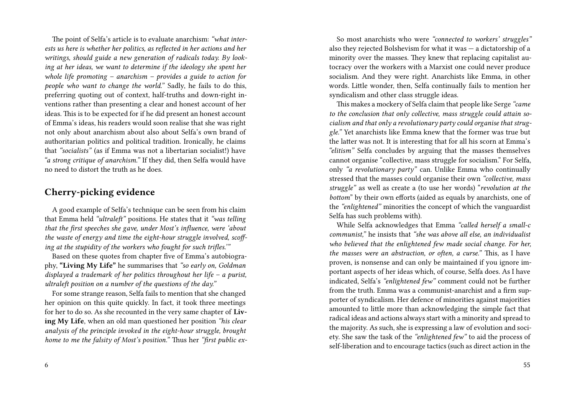The point of Selfa's article is to evaluate anarchism: *"what interests us here is whether her politics, as reflected in her actions and her writings, should guide a new generation of radicals today. By looking at her ideas, we want to determine if the ideology she spent her whole life promoting – anarchism – provides a guide to action for people who want to change the world."* Sadly, he fails to do this, preferring quoting out of context, half-truths and down-right inventions rather than presenting a clear and honest account of her ideas. This is to be expected for if he did present an honest account of Emma's ideas, his readers would soon realise that she was right not only about anarchism about also about Selfa's own brand of authoritarian politics and political tradition. Ironically, he claims that *"socialists"* (as if Emma was not a libertarian socialist!) have *"a strong critique of anarchism."* If they did, then Selfa would have no need to distort the truth as he does.

#### **Cherry-picking evidence**

A good example of Selfa's technique can be seen from his claim that Emma held *"ultraleft"* positions. He states that it *"was telling that the first speeches she gave, under Most's influence, were 'about the waste of energy and time the eight-hour struggle involved, scoffing at the stupidity of the workers who fought for such trifles.'"*

Based on these quotes from chapter five of Emma's autobiography, **"Living My Life"** he summarises that *"so early on, Goldman displayed a trademark of her politics throughout her life – a purist, ultraleft position on a number of the questions of the day."*

For some strange reason, Selfa fails to mention that she changed her opinion on this quite quickly. In fact, it took three meetings for her to do so. As she recounted in the very same chapter of **Living My Life**, when an old man questioned her position *"his clear analysis of the principle invoked in the eight-hour struggle, brought home to me the falsity of Most's position."* Thus her *"first public ex-*

So most anarchists who were *"connected to workers' struggles"* also they rejected Bolshevism for what it was — a dictatorship of a minority over the masses. They knew that replacing capitalist autocracy over the workers with a Marxist one could never produce socialism. And they were right. Anarchists like Emma, in other words. Little wonder, then, Selfa continually fails to mention her syndicalism and other class struggle ideas.

This makes a mockery of Selfa claim that people like Serge *"came to the conclusion that only collective, mass struggle could attain socialism and that only a revolutionary party could organise that struggle."* Yet anarchists like Emma knew that the former was true but the latter was not. It is interesting that for all his scorn at Emma's *"elitism"* Selfa concludes by arguing that the masses themselves cannot organise "collective, mass struggle for socialism." For Selfa, only *"a revolutionary party"* can. Unlike Emma who continually stressed that the masses could organise their own *"collective, mass struggle"* as well as create a (to use her words) "*revolution at the bottom*" by their own efforts (aided as equals by anarchists, one of the *"enlightened"* minorities the concept of which the vanguardist Selfa has such problems with).

While Selfa acknowledges that Emma *"called herself a small-c communist,"* he insists that *"she was above all else, an individualist who believed that the enlightened few made social change. For her, the masses were an abstraction, or often, a curse."* This, as I have proven, is nonsense and can only be maintained if you ignore important aspects of her ideas which, of course, Selfa does. As I have indicated, Selfa's *"enlightened few"* comment could not be further from the truth. Emma was a communist-anarchist and a firm supporter of syndicalism. Her defence of minorities against majorities amounted to little more than acknowledging the simple fact that radical ideas and actions always start with a minority and spread to the majority. As such, she is expressing a law of evolution and society. She saw the task of the *"enlightened few"* to aid the process of self-liberation and to encourage tactics (such as direct action in the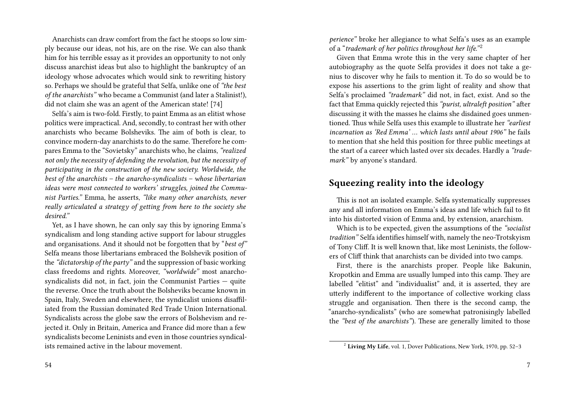Anarchists can draw comfort from the fact he stoops so low simply because our ideas, not his, are on the rise. We can also thank him for his terrible essay as it provides an opportunity to not only discuss anarchist ideas but also to highlight the bankruptcy of an ideology whose advocates which would sink to rewriting history so. Perhaps we should be grateful that Selfa, unlike one of *"the best of the anarchists"* who became a Communist (and later a Stalinist!), did not claim she was an agent of the American state! [74]

Selfa's aim is two-fold. Firstly, to paint Emma as an elitist whose politics were impractical. And, secondly, to contrast her with other anarchists who became Bolsheviks. The aim of both is clear, to convince modern-day anarchists to do the same. Therefore he compares Emma to the "Sovietsky" anarchists who, he claims, *"realized not only the necessity of defending the revolution, but the necessity of participating in the construction of the new society. Worldwide, the best of the anarchists – the anarcho-syndicalists – whose libertarian ideas were most connected to workers' struggles, joined the Communist Parties."* Emma, he asserts, *"like many other anarchists, never really articulated a strategy of getting from here to the society she desired."*

Yet, as I have shown, he can only say this by ignoring Emma's syndicalism and long standing active support for labour struggles and organisations. And it should not be forgotten that by "*best of"* Selfa means those libertarians embraced the Bolshevik position of the *"dictatorship of the party"* and the suppression of basic working class freedoms and rights. Moreover, *"worldwide"* most anarchosyndicalists did not, in fact, join the Communist Parties — quite the reverse. Once the truth about the Bolsheviks became known in Spain, Italy, Sweden and elsewhere, the syndicalist unions disaffiliated from the Russian dominated Red Trade Union International. Syndicalists across the globe saw the errors of Bolshevism and rejected it. Only in Britain, America and France did more than a few syndicalists become Leninists and even in those countries syndicalists remained active in the labour movement.

*perience"* broke her allegiance to what Selfa's uses as an example of a "*trademark of her politics throughout her life."* <sup>2</sup>

Given that Emma wrote this in the very same chapter of her autobiography as the quote Selfa provides it does not take a genius to discover why he fails to mention it. To do so would be to expose his assertions to the grim light of reality and show that Selfa's proclaimed *"trademark"* did not, in fact, exist. And so the fact that Emma quickly rejected this *"purist, ultraleft position"* after discussing it with the masses he claims she disdained goes unmentioned. Thus while Selfa uses this example to illustrate her *"earliest incarnation as 'Red Emma' … which lasts until about 1906"* he fails to mention that she held this position for three public meetings at the start of a career which lasted over six decades. Hardly a *"trademark"* by anyone's standard.

# **Squeezing reality into the ideology**

This is not an isolated example. Selfa systematically suppresses any and all information on Emma's ideas and life which fail to fit into his distorted vision of Emma and, by extension, anarchism.

Which is to be expected, given the assumptions of the *"socialist tradition"* Selfa identifies himself with, namely the neo-Trotskyism of Tony Cliff. It is well known that, like most Leninists, the followers of Cliff think that anarchists can be divided into two camps.

First, there is the anarchists proper. People like Bakunin, Kropotkin and Emma are usually lumped into this camp. They are labelled "elitist" and "individualist" and, it is asserted, they are utterly indifferent to the importance of collective working class struggle and organisation. Then there is the second camp, the "anarcho-syndicalists" (who are somewhat patronisingly labelled the *"best of the anarchists"*). These are generally limited to those

<sup>2</sup> **Living My Life**, vol. 1, Dover Publications, New York, 1970, pp. 52–3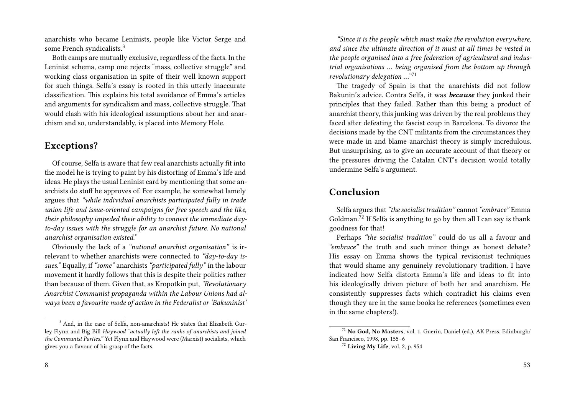anarchists who became Leninists, people like Victor Serge and some French syndicalists.<sup>3</sup>

Both camps are mutually exclusive, regardless of the facts. In the Leninist schema, camp one rejects "mass, collective struggle" and working class organisation in spite of their well known support for such things. Selfa's essay is rooted in this utterly inaccurate classification. This explains his total avoidance of Emma's articles and arguments for syndicalism and mass, collective struggle. That would clash with his ideological assumptions about her and anarchism and so, understandably, is placed into Memory Hole.

## **Exceptions?**

Of course, Selfa is aware that few real anarchists actually fit into the model he is trying to paint by his distorting of Emma's life and ideas. He plays the usual Leninist card by mentioning that some anarchists do stuff he approves of. For example, he somewhat lamely argues that *"while individual anarchists participated fully in trade union life and issue-oriented campaigns for free speech and the like, their philosophy impeded their ability to connect the immediate dayto-day issues with the struggle for an anarchist future. No national anarchist organisation existed."*

Obviously the lack of a *"national anarchist organisation"* is irrelevant to whether anarchists were connected to *"day-to-day issues."* Equally, if *"some"* anarchists*"participated fully"* in the labour movement it hardly follows that this is despite their politics rather than because of them. Given that, as Kropotkin put, *"Revolutionary Anarchist Communist propaganda within the Labour Unions had always been a favourite mode of action in the Federalist or 'Bakuninist'*

8

*"Since it is the people which must make the revolution everywhere, and since the ultimate direction of it must at all times be vested in the people organised into a free federation of agricultural and industrial organisations … being organised from the bottom up through revolutionary delegation* ..."<sup>71</sup>

The tragedy of Spain is that the anarchists did not follow Bakunin's advice. Contra Selfa, it was *because* they junked their principles that they failed. Rather than this being a product of anarchist theory, this junking was driven by the real problems they faced after defeating the fascist coup in Barcelona. To divorce the decisions made by the CNT militants from the circumstances they were made in and blame anarchist theory is simply incredulous. But unsurprising, as to give an accurate account of that theory or the pressures driving the Catalan CNT's decision would totally undermine Selfa's argument.

## **Conclusion**

Selfa argues that*"the socialist tradition"* cannot*"embrace"* Emma Goldman.<sup>72</sup> If Selfa is anything to go by then all I can say is thank goodness for that!

Perhaps *"the socialist tradition"* could do us all a favour and *"embrace"* the truth and such minor things as honest debate? His essay on Emma shows the typical revisionist techniques that would shame any genuinely revolutionary tradition. I have indicated how Selfa distorts Emma's life and ideas to fit into his ideologically driven picture of both her and anarchism. He consistently suppresses facts which contradict his claims even though they are in the same books he references (sometimes even in the same chapters!).

<sup>&</sup>lt;sup>3</sup> And, in the case of Selfa, non-anarchists! He states that Elizabeth Gurley Flynn and Big Bill *Haywood "actually left the ranks of anarchists and joined the Communist Parties."* Yet Flynn and Haywood were (Marxist) socialists, which gives you a flavour of his grasp of the facts.

<sup>71</sup> **No God, No Masters**, vol. 1, Guerin, Daniel (ed.), AK Press, Edinburgh/ San Francisco, 1998, pp. 155–6

<sup>72</sup> **Living My Life**, vol. 2, p. 954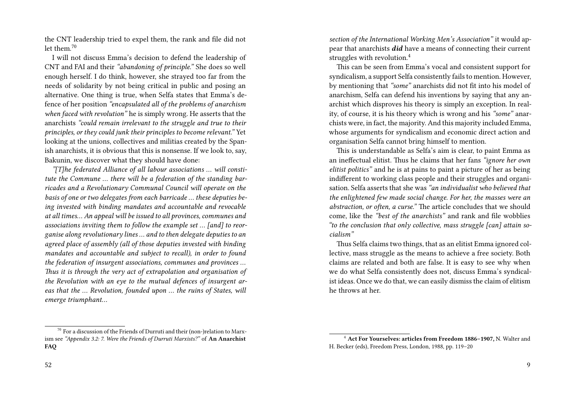the CNT leadership tried to expel them, the rank and file did not let them $10$ 

I will not discuss Emma's decision to defend the leadership of CNT and FAI and their *"abandoning of principle."* She does so well enough herself. I do think, however, she strayed too far from the needs of solidarity by not being critical in public and posing an alternative. One thing is true, when Selfa states that Emma's defence of her position *"encapsulated all of the problems of anarchism when faced with revolution"* he is simply wrong. He asserts that the anarchists *"could remain irrelevant to the struggle and true to their principles, or they could junk their principles to become relevant."* Yet looking at the unions, collectives and militias created by the Spanish anarchists, it is obvious that this is nonsense. If we look to, say, Bakunin, we discover what they should have done:

*"[T]he federated Alliance of all labour associations … will constitute the Commune … there will be a federation of the standing barricades and a Revolutionary Communal Council will operate on the basis of one or two delegates from each barricade … these deputies being invested with binding mandates and accountable and revocable at all times… An appeal will be issued to all provinces, communes and associations inviting them to follow the example set … [and] to reorganise along revolutionary lines … and to then delegate deputies to an agreed place of assembly (all of those deputies invested with binding mandates and accountable and subject to recall), in order to found the federation of insurgent associations, communes and provinces … Thus it is through the very act of extrapolation and organisation of the Revolution with an eye to the mutual defences of insurgent areas that the … Revolution, founded upon … the ruins of States, will emerge triumphant…*

 $70$  For a discussion of the Friends of Durruti and their (non-)relation to Marxism see *"Appendix 3.2: 7. Were the Friends of Durruti Marxists?"* of **An Anarchist FAQ**

*section of the International Working Men's Association"* it would appear that anarchists *did* have a means of connecting their current struggles with revolution.<sup>4</sup>

This can be seen from Emma's vocal and consistent support for syndicalism, a support Selfa consistently fails to mention. However, by mentioning that *"some"* anarchists did not fit into his model of anarchism, Selfa can defend his inventions by saying that any anarchist which disproves his theory is simply an exception. In reality, of course, it is his theory which is wrong and his *"some"* anarchists were, in fact, the majority. And this majority included Emma, whose arguments for syndicalism and economic direct action and organisation Selfa cannot bring himself to mention.

This is understandable as Selfa's aim is clear, to paint Emma as an ineffectual elitist. Thus he claims that her fans *"ignore her own elitist politics"* and he is at pains to paint a picture of her as being indifferent to working class people and their struggles and organisation. Selfa asserts that she was *"an individualist who believed that the enlightened few made social change. For her, the masses were an abstraction, or often, a curse."* The article concludes that we should come, like the *"best of the anarchists"* and rank and file wobblies *"to the conclusion that only collective, mass struggle [can] attain socialism"*

Thus Selfa claims two things, that as an elitist Emma ignored collective, mass struggle as the means to achieve a free society. Both claims are related and both are false. It is easy to see why when we do what Selfa consistently does not, discuss Emma's syndicalist ideas. Once we do that, we can easily dismiss the claim of elitism he throws at her.

<sup>4</sup> **Act For Yourselves: articles from Freedom 1886–1907,** N. Walter and H. Becker (eds), Freedom Press, London, 1988, pp. 119–20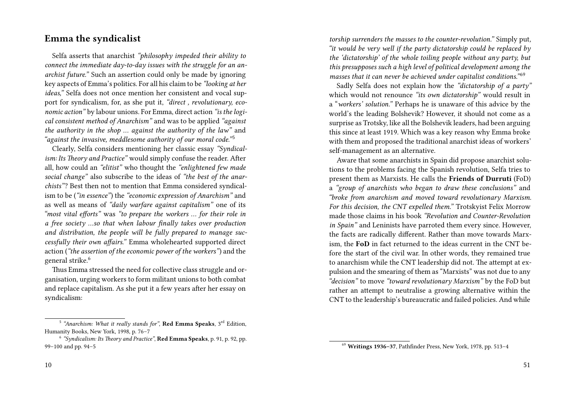#### **Emma the syndicalist**

Selfa asserts that anarchist *"philosophy impeded their ability to connect the immediate day-to-day issues with the struggle for an anarchist future."* Such an assertion could only be made by ignoring key aspects of Emma's politics. For all his claim to be *"looking at her ideas,"* Selfa does not once mention her consistent and vocal support for syndicalism, for, as she put it, *"direct , revolutionary, economic action"* by labour unions. For Emma, direct action *"is the logical consistent method of Anarchism"* and was to be applied *"against the authority in the shop … against the authority of the law"* and <sup>"</sup>against the invasive, meddlesome authority of our moral code."<sup>5</sup>

Clearly, Selfa considers mentioning her classic essay *"Syndicalism: Its Theory and Practice"* would simply confuse the reader. After all, how could an *"elitist"* who thought the *"enlightened few made social change"* also subscribe to the ideas of *"the best of the anarchists"*? Best then not to mention that Emma considered syndicalism to be (*"in essence"*) the *"economic expression of Anarchism"* and as well as means of *"daily warfare against capitalism"* one of its *"most vital efforts"* was *"to prepare the workers … for their role in a free society …so that when labour finally takes over production and distribution, the people will be fully prepared to manage successfully their own affairs."* Emma wholehearted supported direct action (*"the assertion of the economic power of the workers"*) and the general strike.<sup>6</sup>

Thus Emma stressed the need for collective class struggle and organisation, urging workers to form militant unions to both combat and replace capitalism. As she put it a few years after her essay on syndicalism:

10

*torship surrenders the masses to the counter-revolution."* Simply put*, "it would be very well if the party dictatorship could be replaced by the 'dictatorship' of the whole toiling people without any party, but this presupposes such a high level of political development among the masses that it can never be achieved under capitalist conditions.*"<sup>69</sup>

Sadly Selfa does not explain how the *"dictatorship of a party"* which would not renounce *"its own dictatorship"* would result in a "*workers' solution."* Perhaps he is unaware of this advice by the world's the leading Bolshevik? However, it should not come as a surprise as Trotsky, like all the Bolshevik leaders, had been arguing this since at least 1919. Which was a key reason why Emma broke with them and proposed the traditional anarchist ideas of workers' self-management as an alternative.

Aware that some anarchists in Spain did propose anarchist solutions to the problems facing the Spanish revolution, Selfa tries to present them as Marxists. He calls the **Friends of Durruti** (FoD) a *"group of anarchists who began to draw these conclusions"* and *"broke from anarchism and moved toward revolutionary Marxism. For this decision, the CNT expelled them."* Trotskyist Felix Morrow made those claims in his book *"Revolution and Counter-Revolution in Spain"* and Leninists have parroted them every since. However, the facts are radically different. Rather than move towards Marxism, the **FoD** in fact returned to the ideas current in the CNT before the start of the civil war. In other words, they remained true to anarchism while the CNT leadership did not. The attempt at expulsion and the smearing of them as "Marxists" was not due to any *"decision"* to move *"toward revolutionary Marxism"* by the FoD but rather an attempt to neutralise a growing alternative within the CNT to the leadership's bureaucratic and failed policies. And while

<sup>&</sup>lt;sup>5</sup> "Anarchism: What it really stands for", **Red Emma Speaks**, 3<sup>rd</sup> Edition, Humanity Books, New York, 1998, p. 76–7

<sup>6</sup> *"Syndicalism: Its Theory and Practice"*, **Red Emma Speaks**, p. 91, p. 92, pp. 99–100 and pp. 94–5

<sup>69</sup> **Writings 1936–37**, Pathfinder Press, New York, 1978, pp. 513–4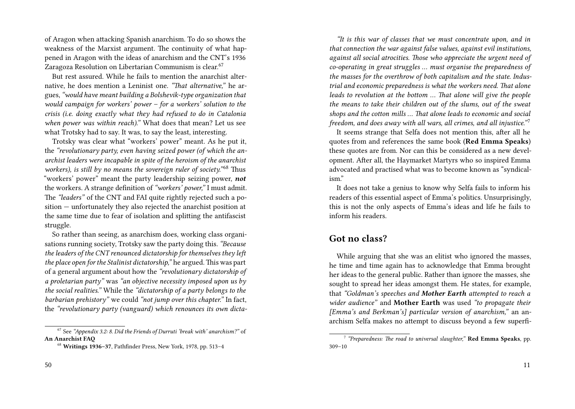of Aragon when attacking Spanish anarchism. To do so shows the weakness of the Marxist argument. The continuity of what happened in Aragon with the ideas of anarchism and the CNT's 1936 Zaragoza Resolution on Libertarian Communism is clear.<sup>67</sup>

But rest assured. While he fails to mention the anarchist alternative, he does mention a Leninist one. *"That alternative,"* he argues,*"would have meant building a Bolshevik-type organization that would campaign for workers' power – for a workers' solution to the crisis (i.e. doing exactly what they had refused to do in Catalonia when power was within reach)."* What does that mean? Let us see what Trotsky had to say. It was, to say the least, interesting.

Trotsky was clear what "workers' power" meant. As he put it, the *"revolutionary party, even having seized power (of which the anarchist leaders were incapable in spite of the heroism of the anarchist workers), is still by no means the sovereign ruler of society.*"<sup>68</sup> Thus "workers' power" meant the party leadership seizing power, *not* the workers. A strange definition of *"workers' power,"* I must admit. The *"leaders"* of the CNT and FAI quite rightly rejected such a position — unfortunately they also rejected the anarchist position at the same time due to fear of isolation and splitting the antifascist struggle.

So rather than seeing, as anarchism does, working class organisations running society, Trotsky saw the party doing this. *"Because the leaders of the CNT renounced dictatorship for themselves they left the place open for the Stalinist dictatorship,"* he argued. This was part of a general argument about how the *"revolutionary dictatorship of a proletarian party"* was *"an objective necessity imposed upon us by the social realities."* While the *"dictatorship of a party belongs to the barbarian prehistory"* we could *"not jump over this chapter."* In fact, the *"revolutionary party (vanguard) which renounces its own dicta-*

*"It is this war of classes that we must concentrate upon, and in that connection the war against false values, against evil institutions, against all social atrocities. Those who appreciate the urgent need of co-operating in great struggles … must organise the preparedness of the masses for the overthrow of both capitalism and the state. Industrial and economic preparedness is what the workers need. That alone leads to revolution at the bottom … That alone will give the people the means to take their children out of the slums, out of the sweat shops and the cotton mills … That alone leads to economic and social freedom, and does away with all wars, all crimes, and all injustice.*"<sup>7</sup>

It seems strange that Selfa does not mention this, after all he quotes from and references the same book (**Red Emma Speaks**) these quotes are from. Nor can this be considered as a new development. After all, the Haymarket Martyrs who so inspired Emma advocated and practised what was to become known as "syndicalism."

It does not take a genius to know why Selfa fails to inform his readers of this essential aspect of Emma's politics. Unsurprisingly, this is not the only aspects of Emma's ideas and life he fails to inform his readers.

#### **Got no class?**

While arguing that she was an elitist who ignored the masses, he time and time again has to acknowledge that Emma brought her ideas to the general public. Rather than ignore the masses, she sought to spread her ideas amongst them. He states, for example, that *"Goldman's speeches and Mother Earth attempted to reach a wider audience"* and **Mother Earth** was used *"to propagate their [Emma's and Berkman's] particular version of anarchism,"* an anarchism Selfa makes no attempt to discuss beyond a few superfi-

<sup>67</sup> See *"Appendix 3.2: 8. Did the Friends of Durruti 'break with' anarchism?"* of **An Anarchist FAQ**

<sup>68</sup> **Writings 1936–37**, Pathfinder Press, New York, 1978, pp. 513–4

<sup>7</sup> *"Preparedness: The road to universal slaughter,"* **Red Emma Speaks**, pp. 309–10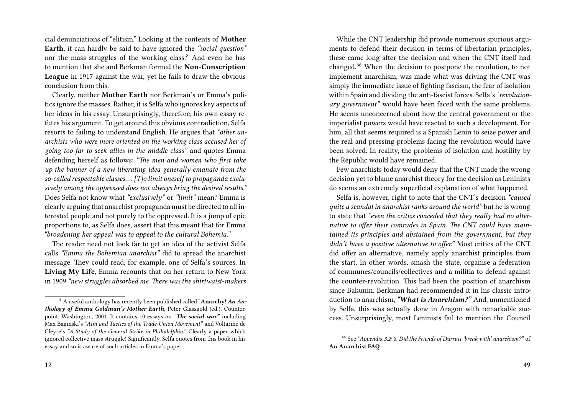cial denunciations of "elitism." Looking at the contents of **Mother Earth**, it can hardly be said to have ignored the *"social question"* nor the mass struggles of the working class.<sup>8</sup> And even he has to mention that she and Berkman formed the **Non-Conscription League** in 1917 against the war, yet he fails to draw the obvious conclusion from this.

Clearly, neither **Mother Earth** nor Berkman's or Emma's politics ignore the masses. Rather, it is Selfa who ignores key aspects of her ideas in his essay. Unsurprisingly, therefore, his own essay refutes his argument. To get around this obvious contradiction, Selfa resorts to failing to understand English. He argues that *"other anarchists who were more oriented on the working class accused her of going too far to seek allies in the middle class"* and quotes Emma defending herself as follows: *"The men and women who first take up the banner of a new liberating idea generally emanate from the so-called respectable classes…. [T]o limit oneself to propaganda exclusively among the oppressed does not always bring the desired results."* Does Selfa not know what *"exclusively"* or *"limit"* mean? Emma is clearly arguing that anarchist propaganda must be directed to all interested people and not purely to the oppressed. It is a jump of epic proportions to, as Selfa does, assert that this meant that for Emma *"broadening her appeal was to appeal to the cultural Bohemia."*

The reader need not look far to get an idea of the activist Selfa calls *"Emma the Bohemian anarchist"* did to spread the anarchist message. They could read, for example, one of Selfa's sources. In **Living My Life**, Emma recounts that on her return to New York in 1909 *"new struggles absorbed me. There was the shirtwaist-makers*

While the CNT leadership did provide numerous spurious arguments to defend their decision in terms of libertarian principles, these came long after the decision and when the CNT itself had changed.<sup>66</sup> When the decision to postpone the revolution, to not implement anarchism, was made what was driving the CNT was simply the immediate issue of fighting fascism, the fear of isolation within Spain and dividing the anti-fascist forces. Selfa's "*revolutionary government"* would have been faced with the same problems. He seems unconcerned about how the central government or the imperialist powers would have reacted to such a development. For him, all that seems required is a Spanish Lenin to seize power and the real and pressing problems facing the revolution would have been solved. In reality, the problems of isolation and hostility by the Republic would have remained.

Few anarchists today would deny that the CNT made the wrong decision yet to blame anarchist theory for the decision as Leninists do seems an extremely superficial explanation of what happened.

Selfa is, however, right to note that the CNT's decision *"caused quite a scandal in anarchist ranks around the world"* but he is wrong to state that *"even the critics conceded that they really had no alternative to offer their comrades in Spain. The CNT could have maintained its principles and abstained from the government, but they didn't have a positive alternative to offer."* Most critics of the CNT did offer an alternative, namely apply anarchist principles from the start. In other words, smash the state, organise a federation of communes/councils/collectives and a militia to defend against the counter-revolution. This had been the position of anarchism since Bakunin. Berkman had recommended it in his classic introduction to anarchism, *"What is Anarchism?"* And, unmentioned by Selfa, this was actually done in Aragon with remarkable success. Unsurprisingly, most Leninists fail to mention the Council

<sup>8</sup> A useful anthology has recently been published called "**Anarchy!** *An Anthology of Emma Goldman's Mother Earth*, Peter Glassgold (ed.), Counterpoint, Washington, 2001. It contains 10 essays on *"The social war"* including Max Baginski's *"Aim and Tactics of the Trade-Union Movement"* and Voltarine de Cleyre's *"A Study of the General Strike in Philadelphia."* Clearly a paper which ignored collective mass struggle! Significantly, Selfa quotes from this book in his essay and so is aware of such articles in Emma's paper.

<sup>66</sup> See *"Appendix 3.2: 8. Did the Friends of Durruti 'break with' anarchism?"* of **An Anarchist FAQ**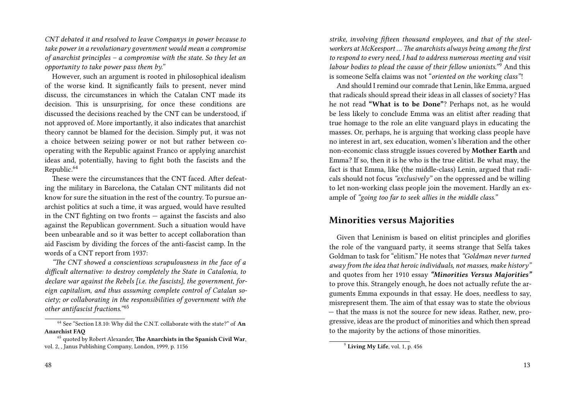*CNT debated it and resolved to leave Companys in power because to take power in a revolutionary government would mean a compromise of anarchist principles – a compromise with the state. So they let an opportunity to take power pass them by."*

However, such an argument is rooted in philosophical idealism of the worse kind. It significantly fails to present, never mind discuss, the circumstances in which the Catalan CNT made its decision. This is unsurprising, for once these conditions are discussed the decisions reached by the CNT can be understood, if not approved of. More importantly, it also indicates that anarchist theory cannot be blamed for the decision. Simply put, it was not a choice between seizing power or not but rather between cooperating with the Republic against Franco or applying anarchist ideas and, potentially, having to fight both the fascists and the Republic.<sup>64</sup>

These were the circumstances that the CNT faced. After defeating the military in Barcelona, the Catalan CNT militants did not know for sure the situation in the rest of the country. To pursue anarchist politics at such a time, it was argued, would have resulted in the CNT fighting on two fronts — against the fascists and also against the Republican government. Such a situation would have been unbearable and so it was better to accept collaboration than aid Fascism by dividing the forces of the anti-fascist camp. In the words of a CNT report from 1937:

*"The CNT showed a conscientious scrupulousness in the face of a difficult alternative: to destroy completely the State in Catalonia, to declare war against the Rebels [i.e. the fascists], the government, foreign capitalism, and thus assuming complete control of Catalan society; or collaborating in the responsibilities of government with the other antifascist fractions.*"<sup>65</sup>

*strike, involving fifteen thousand employees, and that of the steelworkers at McKeesport … The anarchists always being among the first to respond to every need, I had to address numerous meeting and visit labour bodies to plead the cause of their fellow unionists.*"<sup>9</sup> And this is someone Selfa claims was not "*oriented on the working class"*!

And should I remind our comrade that Lenin, like Emma, argued that radicals should spread their ideas in all classes of society? Has he not read **"What is to be Done"**? Perhaps not, as he would be less likely to conclude Emma was an elitist after reading that true homage to the role an elite vanguard plays in educating the masses. Or, perhaps, he is arguing that working class people have no interest in art, sex education, women's liberation and the other non-economic class struggle issues covered by **Mother Earth** and Emma? If so, then it is he who is the true elitist. Be what may, the fact is that Emma, like (the middle-class) Lenin, argued that radicals should not focus *"exclusively"* on the oppressed and be willing to let non-working class people join the movement. Hardly an example of *"going too far to seek allies in the middle class."*

#### **Minorities versus Majorities**

Given that Leninism is based on elitist principles and glorifies the role of the vanguard party, it seems strange that Selfa takes Goldman to task for "elitism." He notes that *"Goldman never turned away from the idea that heroic individuals, not masses, make history"* and quotes from her 1910 essay *"Minorities Versus Majorities"* to prove this. Strangely enough, he does not actually refute the arguments Emma expounds in that essay. He does, needless to say, misrepresent them. The aim of that essay was to state the obvious — that the mass is not the source for new ideas. Rather, new, progressive, ideas are the product of minorities and which then spread to the majority by the actions of those minorities.

<sup>64</sup> See "Section I.8.10: Why did the C.N.T. collaborate with the state?" of **An Anarchist FAQ**

<sup>65</sup> quoted by Robert Alexander, **The Anarchists in the Spanish Civil War**, vol. 2, , Janus Publishing Company, London, 1999, p. 1156

<sup>9</sup> **Living My Life**, vol. 1, p. 456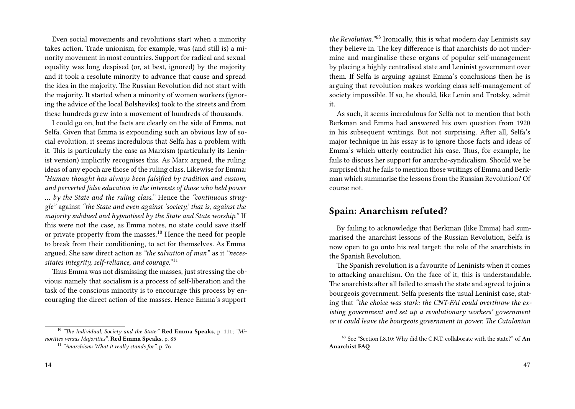Even social movements and revolutions start when a minority takes action. Trade unionism, for example, was (and still is) a minority movement in most countries. Support for radical and sexual equality was long despised (or, at best, ignored) by the majority and it took a resolute minority to advance that cause and spread the idea in the majority. The Russian Revolution did not start with the majority. It started when a minority of women workers (ignoring the advice of the local Bolsheviks) took to the streets and from these hundreds grew into a movement of hundreds of thousands.

I could go on, but the facts are clearly on the side of Emma, not Selfa. Given that Emma is expounding such an obvious law of social evolution, it seems incredulous that Selfa has a problem with it. This is particularly the case as Marxism (particularly its Leninist version) implicitly recognises this. As Marx argued, the ruling ideas of any epoch are those of the ruling class. Likewise for Emma: *"Human thought has always been falsified by tradition and custom, and perverted false education in the interests of those who held power … by the State and the ruling class."* Hence the *"continuous struggle"* against *"the State and even against 'society,' that is, against the majority subdued and hypnotised by the State and State worship."* If this were not the case, as Emma notes, no state could save itself or private property from the masses.<sup>10</sup> Hence the need for people to break from their conditioning, to act for themselves. As Emma argued. She saw direct action as *"the salvation of man"* as it *"necessitates integrity, self-reliance, and courage."* <sup>11</sup>

Thus Emma was not dismissing the masses, just stressing the obvious: namely that socialism is a process of self-liberation and the task of the conscious minority is to encourage this process by encouraging the direct action of the masses. Hence Emma's support

<sup>10</sup> *"The Individual, Society and the State,"* **Red Emma Speaks**, p. 111; *"Minorities versus Majorities"*, **Red Emma Speaks**, p. 85

*the Revolution.*"<sup>63</sup> Ironically, this is what modern day Leninists say they believe in. The key difference is that anarchists do not undermine and marginalise these organs of popular self-management by placing a highly centralised state and Leninist government over them. If Selfa is arguing against Emma's conclusions then he is arguing that revolution makes working class self-management of society impossible. If so, he should, like Lenin and Trotsky, admit it.

As such, it seems incredulous for Selfa not to mention that both Berkman and Emma had answered his own question from 1920 in his subsequent writings. But not surprising. After all, Selfa's major technique in his essay is to ignore those facts and ideas of Emma's which utterly contradict his case. Thus, for example, he fails to discuss her support for anarcho-syndicalism. Should we be surprised that he fails to mention those writings of Emma and Berkman which summarise the lessons from the Russian Revolution? Of course not.

#### **Spain: Anarchism refuted?**

By failing to acknowledge that Berkman (like Emma) had summarised the anarchist lessons of the Russian Revolution, Selfa is now open to go onto his real target: the role of the anarchists in the Spanish Revolution.

The Spanish revolution is a favourite of Leninists when it comes to attacking anarchism. On the face of it, this is understandable. The anarchists after all failed to smash the state and agreed to join a bourgeois government. Selfa presents the usual Leninist case, stating that *"the choice was stark: the CNT-FAI could overthrow the existing government and set up a revolutionary workers' government or it could leave the bourgeois government in power. The Catalonian*

<sup>11</sup> *"Anarchism: What it really stands for"*, p. 76

<sup>63</sup> See "Section I.8.10: Why did the C.N.T. collaborate with the state?" of **An Anarchist FAQ**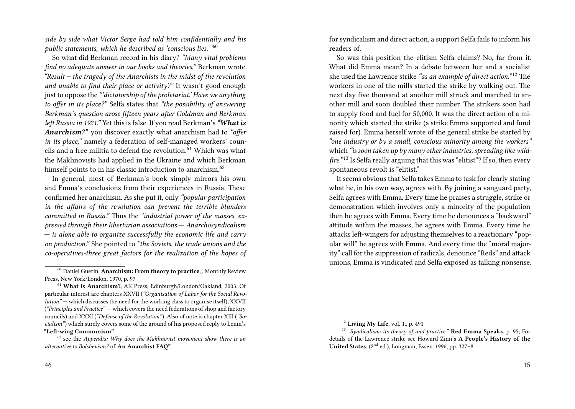*side by side what Victor Serge had told him confidentially and his public statements, which he described as 'conscious lies.'"*<sup>60</sup>

So what did Berkman record in his diary? *"Many vital problems find no adequate answer in our books and theories,"* Berkman wrote. *"Result – the tragedy of the Anarchists in the midst of the revolution and unable to find their place or activity?"* It wasn't good enough just to oppose the *"'dictatorship of the proletariat.' Have we anything to offer in its place?"* Selfa states that *"the possibility of answering Berkman's question arose fifteen years after Goldman and Berkman left Russia in 1921."* Yet this is false. If you read Berkman's*"What is Anarchism?"* you discover exactly what anarchism had to *"offer in its place,"* namely a federation of self-managed workers' councils and a free militia to defend the revolution.<sup>61</sup> Which was what the Makhnovists had applied in the Ukraine and which Berkman himself points to in his classic introduction to anarchism.<sup>62</sup>

In general, most of Berkman's book simply mirrors his own and Emma's conclusions from their experiences in Russia. These confirmed her anarchism. As she put it, only *"popular participation in the affairs of the revolution can prevent the terrible blunders committed in Russia."* Thus the *"industrial power of the masses, expressed through their libertarian associations — Anarchosyndicalism — is alone able to organize successfully the economic life and carry on production."* She pointed to *"the Soviets, the trade unions and the co-operatives-three great factors for the realization of the hopes of* for syndicalism and direct action, a support Selfa fails to inform his readers of.

So was this position the elitism Selfa claims? No, far from it. What did Emma mean? In a debate between her and a socialist she used the Lawrence strike *"as an example of direct action."* <sup>12</sup> The workers in one of the mills started the strike by walking out. The next day five thousand at another mill struck and marched to another mill and soon doubled their number. The strikers soon had to supply food and fuel for 50,000. It was the direct action of a minority which started the strike (a strike Emma supported and fund raised for). Emma herself wrote of the general strike be started by *"one industry or by a small, conscious minority among the workers"* which *"is soon taken up by many other industries, spreading like wildfire.*"<sup>13</sup> Is Selfa really arguing that this was "elitist"? If so, then every spontaneous revolt is "elitist."

It seems obvious that Selfa takes Emma to task for clearly stating what he, in his own way, agrees with. By joining a vanguard party, Selfa agrees with Emma. Every time he praises a struggle, strike or demonstration which involves only a minority of the population then he agrees with Emma. Every time he denounces a "backward" attitude within the masses, he agrees with Emma. Every time he attacks left-wingers for adjusting themselves to a reactionary "popular will" he agrees with Emma. And every time the "moral majority" call for the suppression of radicals, denounce "Reds" and attack unions, Emma is vindicated and Selfa exposed as talking nonsense.

<sup>60</sup> Daniel Guerin, **Anarchism: From theory to practice**, , Monthly Review Press, New York/London, 1970, p. 97

<sup>61</sup> **What is Anarchism?,** AK Press, Edinburgh/London/Oakland, 2003. Of particular interest are chapters XXVII (*"Organisation of Labor for the Social Revolution"* — which discusses the need for the working class to organise itself), XXVII (*"Principles and Practice"* — which covers the need federations of shop and factory councils) and XXXI (*"Defense of the Revolution"*). Also of note is chapter XIII (*"Socialism"*) which surely covers some of the ground of his proposed reply to Lenin's **"Left-wing Communism"**.

<sup>62</sup> see the *Appendix: Why does the Makhnovist movement show there is an alternative to Bolshevism?* of **An Anarchist FAQ"**.

<sup>12</sup> **Living My Life**, vol. 1., p. 491

<sup>13</sup> *"Syndicalism: its theory of and practice,"* **Red Emma Speaks**, p. 95; For details of the Lawrence strike see Howard Zinn's **A People's History of the United States**, (2<sup>nd</sup> ed.), Longman, Essex, 1996, pp. 327–8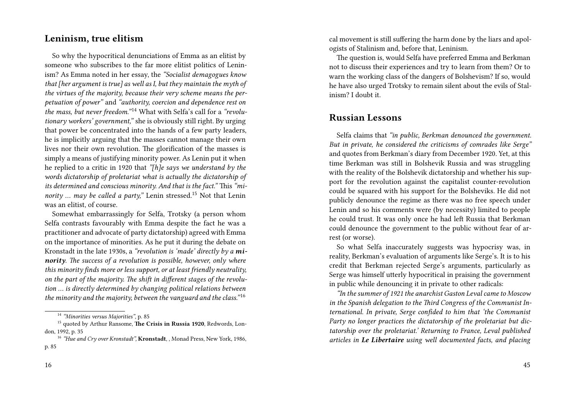#### **Leninism, true elitism**

So why the hypocritical denunciations of Emma as an elitist by someone who subscribes to the far more elitist politics of Leninism? As Emma noted in her essay, the *"Socialist demagogues know that [her argument is true] as well as I, but they maintain the myth of the virtues of the majority, because their very scheme means the perpetuation of power"* and *"authority, coercion and dependence rest on* the mass, but never freedom."<sup>14</sup> What with Selfa's call for a "revolu*tionary workers' government,"* she is obviously still right. By urging that power be concentrated into the hands of a few party leaders, he is implicitly arguing that the masses cannot manage their own lives nor their own revolution. The glorification of the masses is simply a means of justifying minority power. As Lenin put it when he replied to a critic in 1920 that *"[h]e says we understand by the words dictatorship of proletariat what is actually the dictatorship of its determined and conscious minority. And that is the fact."* This *"minority ... may be called a party,*" Lenin stressed.<sup>15</sup> Not that Lenin was an elitist, of course.

Somewhat embarrassingly for Selfa, Trotsky (a person whom Selfa contrasts favourably with Emma despite the fact he was a practitioner and advocate of party dictatorship) agreed with Emma on the importance of minorities. As he put it during the debate on Kronstadt in the late 1930s, a *"revolution is 'made' directly by a minority. The success of a revolution is possible, however, only where this minority finds more or less support, or at least friendly neutrality, on the part of the majority. The shift in different stages of the revolution … is directly determined by changing political relations between the minority and the majority, between the vanguard and the class."* <sup>16</sup>

cal movement is still suffering the harm done by the liars and apologists of Stalinism and, before that, Leninism.

The question is, would Selfa have preferred Emma and Berkman not to discuss their experiences and try to learn from them? Or to warn the working class of the dangers of Bolshevism? If so, would he have also urged Trotsky to remain silent about the evils of Stalinism? I doubt it.

#### **Russian Lessons**

Selfa claims that *"in public, Berkman denounced the government. But in private, he considered the criticisms of comrades like Serge"* and quotes from Berkman's diary from December 1920. Yet, at this time Berkman was still in Bolshevik Russia and was struggling with the reality of the Bolshevik dictatorship and whether his support for the revolution against the capitalist counter-revolution could be squared with his support for the Bolsheviks. He did not publicly denounce the regime as there was no free speech under Lenin and so his comments were (by necessity) limited to people he could trust. It was only once he had left Russia that Berkman could denounce the government to the public without fear of arrest (or worse).

So what Selfa inaccurately suggests was hypocrisy was, in reality, Berkman's evaluation of arguments like Serge's. It is to his credit that Berkman rejected Serge's arguments, particularly as Serge was himself utterly hypocritical in praising the government in public while denouncing it in private to other radicals:

*"In the summer of 1921 the anarchist Gaston Leval came to Moscow in the Spanish delegation to the Third Congress of the Communist International. In private, Serge confided to him that 'the Communist Party no longer practices the dictatorship of the proletariat but dictatorship over the proletariat.' Returning to France, Leval published articles in Le Libertaire using well documented facts, and placing*

<sup>14</sup> *"Minorities versus Majorities"*, p. 85

<sup>15</sup> quoted by Arthur Ransome, **The Crisis in Russia 1920**, Redwords, London, 1992, p. 35

<sup>16</sup> *"Hue and Cry over Kronstadt",* **Kronstadt**, , Monad Press, New York, 1986, p. 85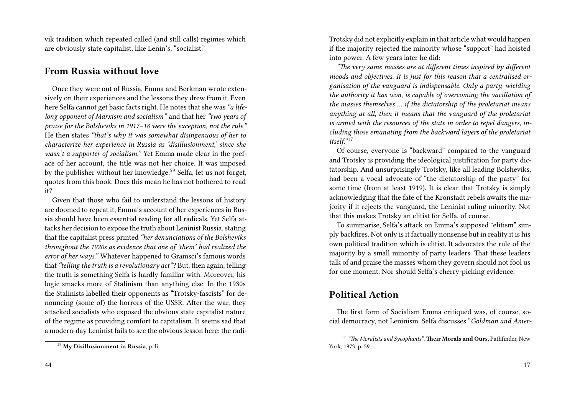vik tradition which repeated called (and still calls) regimes which are obviously state capitalist, like Lenin's, "socialist."

#### **From Russia without love**

Once they were out of Russia, Emma and Berkman wrote extensively on their experiences and the lessons they drew from it. Even here Selfa cannot get basic facts right. He notes that she was *"a lifelong opponent of Marxism and socialism"* and that her *"two years of praise for the Bolsheviks in 1917–18 were the exception, not the rule."* He then states *"that's why it was somewhat disingenuous of her to characterize her experience in Russia as 'disillusionment,' since she wasn't a supporter of socialism."* Yet Emma made clear in the preface of her account, the title was not her choice. It was imposed by the publisher without her knowledge.<sup>59</sup> Selfa, let us not forget, quotes from this book. Does this mean he has not bothered to read it?

Given that those who fail to understand the lessons of history are doomed to repeat it, Emma's account of her experiences in Russia should have been essential reading for all radicals. Yet Selfa attacks her decision to expose the truth about Leninist Russia, stating that the capitalist press printed *"her denunciations of the Bolsheviks throughout the 1920s as evidence that one of 'them' had realized the error of her ways."* Whatever happened to Gramsci's famous words that*"telling the truth is a revolutionary act"*? But, then again, telling the truth is something Selfa is hardly familiar with. Moreover, his logic smacks more of Stalinism than anything else. In the 1930s the Stalinists labelled their opponents as "Trotsky-fascists" for denouncing (some of) the horrors of the USSR. After the war, they attacked socialists who exposed the obvious state capitalist nature of the regime as providing comfort to capitalism. It seems sad that a modern-day Leninist fails to see the obvious lesson here: the radiTrotsky did not explicitly explain in that article what would happen if the majority rejected the minority whose "support" had hoisted into power. A few years later he did:

*"The very same masses are at different times inspired by different moods and objectives. It is just for this reason that a centralised organisation of the vanguard is indispensable. Only a party, wielding the authority it has won, is capable of overcoming the vacillation of the masses themselves … if the dictatorship of the proletariat means anything at all, then it means that the vanguard of the proletariat is armed with the resources of the state in order to repel dangers, including those emanating from the backward layers of the proletariat* itself."<sup>17</sup>

Of course, everyone is "backward" compared to the vanguard and Trotsky is providing the ideological justification for party dictatorship. And unsurprisingly Trotsky, like all leading Bolsheviks, had been a vocal advocate of "the dictatorship of the party" for some time (from at least 1919). It is clear that Trotsky is simply acknowledging that the fate of the Kronstadt rebels awaits the majority if it rejects the vanguard, the Leninist ruling minority. Not that this makes Trotsky an elitist for Selfa, of course.

To summarise, Selfa's attack on Emma's supposed "elitism" simply backfires. Not only is it factually nonsense but in reality it is his own political tradition which is elitist. It advocates the rule of the majority by a small minority of party leaders. That these leaders talk of and praise the masses whom they govern should not fool us for one moment. Nor should Selfa's cherry-picking evidence.

### **Political Action**

The first form of Socialism Emma critiqued was, of course, social democracy, not Leninism. Selfa discusses "*Goldman and Amer-*

<sup>59</sup> **My Disillusionment in Russia**, p. li

<sup>17</sup> *"The Moralists and Sycophants"*, **Their Morals and Ours**, Pathfinder, New York, 1973, p. 59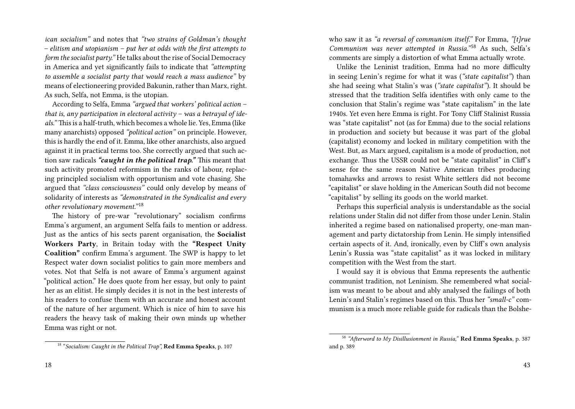*ican socialism"* and notes that *"two strains of Goldman's thought – elitism and utopianism – put her at odds with the first attempts to form the socialist party."* He talks about the rise of Social Democracy in America and yet significantly fails to indicate that *"attempting to assemble a socialist party that would reach a mass audience"* by means of electioneering provided Bakunin, rather than Marx, right. As such, Selfa, not Emma, is the utopian.

According to Selfa, Emma *"argued that workers' political action – that is, any participation in electoral activity – was a betrayal of ideals."* This is a half-truth, which becomes a whole lie. Yes, Emma (like many anarchists) opposed *"political action"* on principle. However, this is hardly the end of it. Emma, like other anarchists, also argued against it in practical terms too. She correctly argued that such action saw radicals *"caught in the political trap."* This meant that such activity promoted reformism in the ranks of labour, replacing principled socialism with opportunism and vote chasing. She argued that *"class consciousness"* could only develop by means of solidarity of interests as *"demonstrated in the Syndicalist and every other revolutionary movement."* <sup>18</sup>

The history of pre-war "revolutionary" socialism confirms Emma's argument, an argument Selfa fails to mention or address. Just as the antics of his sects parent organisation, the **Socialist Workers Party**, in Britain today with the **"Respect Unity Coalition"** confirm Emma's argument. The SWP is happy to let Respect water down socialist politics to gain more members and votes. Not that Selfa is not aware of Emma's argument against "political action." He does quote from her essay, but only to paint her as an elitist. He simply decides it is not in the best interests of his readers to confuse them with an accurate and honest account of the nature of her argument. Which is nice of him to save his readers the heavy task of making their own minds up whether Emma was right or not.

18 "*Socialism: Caught in the Political Trap",* **Red Emma Speaks**, p. 107

who saw it as *"a reversal of communism itself."* For Emma, *"[t]rue Communism was never attempted in Russia.*"<sup>58</sup> As such, Selfa's comments are simply a distortion of what Emma actually wrote.

Unlike the Leninist tradition, Emma had no more difficulty in seeing Lenin's regime for what it was (*"state capitalist"*) than she had seeing what Stalin's was (*"state capitalist"*). It should be stressed that the tradition Selfa identifies with only came to the conclusion that Stalin's regime was "state capitalism" in the late 1940s. Yet even here Emma is right. For Tony Cliff Stalinist Russia was "state capitalist" not (as for Emma) due to the social relations in production and society but because it was part of the global (capitalist) economy and locked in military competition with the West. But, as Marx argued, capitalism is a mode of production, not exchange. Thus the USSR could not be "state capitalist" in Cliff's sense for the same reason Native American tribes producing tomahawks and arrows to resist White settlers did not become "capitalist" or slave holding in the American South did not become "capitalist" by selling its goods on the world market.

Perhaps this superficial analysis is understandable as the social relations under Stalin did not differ from those under Lenin. Stalin inherited a regime based on nationalised property, one-man management and party dictatorship from Lenin. He simply intensified certain aspects of it. And, ironically, even by Cliff's own analysis Lenin's Russia was "state capitalist" as it was locked in military competition with the West from the start.

I would say it is obvious that Emma represents the authentic communist tradition, not Leninism. She remembered what socialism was meant to be about and ably analysed the failings of both Lenin's and Stalin's regimes based on this. Thus her *"small-c"* communism is a much more reliable guide for radicals than the Bolshe-

<sup>58</sup> *"Afterword to My Disillusionment in Russia,"* **Red Emma Speaks**, p. 387 and p. 389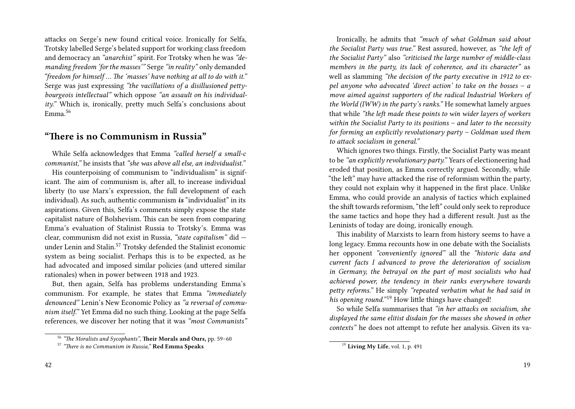attacks on Serge's new found critical voice. Ironically for Selfa, Trotsky labelled Serge's belated support for working class freedom and democracy an *"anarchist"* spirit. For Trotsky when he was *"demanding freedom 'for the masses'"* Serge *"in reality"* only demanded *"freedom for himself … The 'masses' have nothing at all to do with it."* Serge was just expressing *"the vacillations of a disillusioned pettybourgeois intellectual"* which oppose *"an assault on his individuality."* Which is, ironically, pretty much Selfa's conclusions about Emma.<sup>56</sup>

#### **"There is no Communism in Russia"**

While Selfa acknowledges that Emma *"called herself a small-c communist,"* he insists that *"she was above all else, an individualist."*

His counterpoising of communism to "individualism" is significant. The aim of communism is, after all, to increase individual liberty (to use Marx's expression, the full development of each individual). As such, authentic communism *is* "individualist" in its aspirations. Given this, Selfa's comments simply expose the state capitalist nature of Bolshevism. This can be seen from comparing Emma's evaluation of Stalinist Russia to Trotsky's. Emma was clear, communism did not exist in Russia, *"state capitalism"* did under Lenin and Stalin.<sup>57</sup> Trotsky defended the Stalinist economic system as being socialist. Perhaps this is to be expected, as he had advocated and imposed similar policies (and uttered similar rationales) when in power between 1918 and 1923.

But, then again, Selfa has problems understanding Emma's communism. For example, he states that Emma *"immediately denounced"* Lenin's New Economic Policy as *"a reversal of communism itself."* Yet Emma did no such thing. Looking at the page Selfa references, we discover her noting that it was *"most Communists"*

Ironically, he admits that *"much of what Goldman said about the Socialist Party was true."* Rest assured, however, as *"the left of the Socialist Party"* also *"criticised the large number of middle-class members in the party, its lack of coherence, and its character"* as well as slamming *"the decision of the party executive in 1912 to expel anyone who advocated 'direct action' to take on the bosses – a move aimed against supporters of the radical Industrial Workers of the World (IWW) in the party's ranks."* He somewhat lamely argues that while *"the left made these points to win wider layers of workers within the Socialist Party to its positions – and later to the necessity for forming an explicitly revolutionary party – Goldman used them to attack socialism in general."*

Which ignores two things. Firstly, the Socialist Party was meant to be *"an explicitly revolutionary party."* Years of electioneering had eroded that position, as Emma correctly argued. Secondly, while "the left" may have attacked the rise of reformism within the party, they could not explain why it happened in the first place. Unlike Emma, who could provide an analysis of tactics which explained the shift towards reformism, "the left" could only seek to reproduce the same tactics and hope they had a different result. Just as the Leninists of today are doing, ironically enough.

This inability of Marxists to learn from history seems to have a long legacy. Emma recounts how in one debate with the Socialists her opponent *"conveniently ignored"* all the *"historic data and current facts I advanced to prove the deterioration of socialism in Germany, the betrayal on the part of most socialists who had achieved power, the tendency in their ranks everywhere towards petty reforms."* He simply *"repeated verbatim what he had said in his opening round.*"<sup>19</sup> How little things have changed!

So while Selfa summarises that *"in her attacks on socialism, she displayed the same elitist disdain for the masses she showed in other contexts"* he does not attempt to refute her analysis. Given its va-

<sup>56</sup> *"The Moralists and Sycophants"*, **Their Morals and Ours,** pp. 59–60

<sup>57</sup> *"There is no Communism in Russia,"* **Red Emma Speaks**

<sup>19</sup> **Living My Life**, vol. 1, p. 491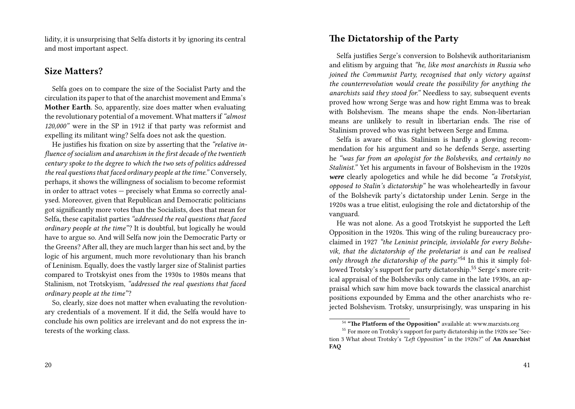lidity, it is unsurprising that Selfa distorts it by ignoring its central and most important aspect.

# **Size Matters?**

Selfa goes on to compare the size of the Socialist Party and the circulation its paper to that of the anarchist movement and Emma's **Mother Earth**. So, apparently, size does matter when evaluating the revolutionary potential of a movement. What matters if*"almost 120,000"* were in the SP in 1912 if that party was reformist and expelling its militant wing? Selfa does not ask the question.

He justifies his fixation on size by asserting that the *"relative influence of socialism and anarchism in the first decade of the twentieth century spoke to the degree to which the two sets of politics addressed the real questions that faced ordinary people at the time."* Conversely, perhaps, it shows the willingness of socialism to become reformist in order to attract votes — precisely what Emma so correctly analysed. Moreover, given that Republican and Democratic politicians got significantly more votes than the Socialists, does that mean for Selfa, these capitalist parties *"addressed the real questions that faced ordinary people at the time"*? It is doubtful, but logically he would have to argue so. And will Selfa now join the Democratic Party or the Greens? After all, they are much larger than his sect and, by the logic of his argument, much more revolutionary than his branch of Leninism. Equally, does the vastly larger size of Stalinist parties compared to Trotskyist ones from the 1930s to 1980s means that Stalinism, not Trotskyism, *"addressed the real questions that faced ordinary people at the time"*?

So, clearly, size does not matter when evaluating the revolutionary credentials of a movement. If it did, the Selfa would have to conclude his own politics are irrelevant and do not express the interests of the working class.

# **The Dictatorship of the Party**

Selfa justifies Serge's conversion to Bolshevik authoritarianism and elitism by arguing that *"he, like most anarchists in Russia who joined the Communist Party, recognised that only victory against the counterrevolution would create the possibility for anything the anarchists said they stood for."* Needless to say, subsequent events proved how wrong Serge was and how right Emma was to break with Bolshevism. The means shape the ends. Non-libertarian means are unlikely to result in libertarian ends. The rise of Stalinism proved who was right between Serge and Emma.

Selfa is aware of this. Stalinism is hardly a glowing recommendation for his argument and so he defends Serge, asserting he *"was far from an apologist for the Bolsheviks, and certainly no Stalinist."* Yet his arguments in favour of Bolshevism in the 1920s *were* clearly apologetics and while he did become *"a Trotskyist, opposed to Stalin's dictatorship"* he was wholeheartedly in favour of the Bolshevik party's dictatorship under Lenin. Serge in the 1920s was a true elitist, eulogising the role and dictatorship of the vanguard.

He was not alone. As a good Trotskyist he supported the Left Opposition in the 1920s. This wing of the ruling bureaucracy proclaimed in 1927 *"the Leninist principle, inviolable for every Bolshevik, that the dictatorship of the proletariat is and can be realised only through the dictatorship of the party.*<sup>"54</sup> In this it simply followed Trotsky's support for party dictatorship.<sup>55</sup> Serge's more critical appraisal of the Bolsheviks only came in the late 1930s, an appraisal which saw him move back towards the classical anarchist positions expounded by Emma and the other anarchists who rejected Bolshevism. Trotsky, unsurprisingly, was unsparing in his

<sup>54</sup> **"The Platform of the Opposition"** available at: www.marxists.org

<sup>&</sup>lt;sup>55</sup> For more on Trotsky's support for party dictatorship in the 1920s see "Section 3 What about Trotsky's *"Left Opposition"* in the 1920s?" of **An Anarchist FAQ**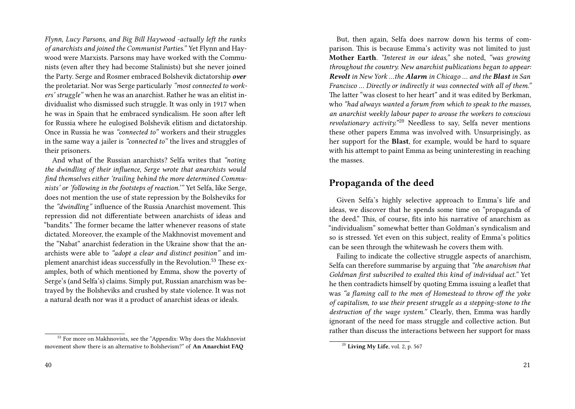*Flynn, Lucy Parsons, and Big Bill Haywood -actually left the ranks of anarchists and joined the Communist Parties."* Yet Flynn and Haywood were Marxists. Parsons may have worked with the Communists (even after they had become Stalinists) but she never joined the Party. Serge and Rosmer embraced Bolshevik dictatorship *over* the proletariat. Nor was Serge particularly *"most connected to workers' struggle"* when he was an anarchist. Rather he was an elitist individualist who dismissed such struggle. It was only in 1917 when he was in Spain that he embraced syndicalism. He soon after left for Russia where he eulogised Bolshevik elitism and dictatorship. Once in Russia he was *"connected to"* workers and their struggles in the same way a jailer is *"connected to"* the lives and struggles of their prisoners.

And what of the Russian anarchists? Selfa writes that *"noting the dwindling of their influence, Serge wrote that anarchists would find themselves either 'trailing behind the more determined Communists' or 'following in the footsteps of reaction.'"* Yet Selfa, like Serge, does not mention the use of state repression by the Bolsheviks for the *"dwindling"* influence of the Russia Anarchist movement. This repression did not differentiate between anarchists of ideas and "bandits." The former became the latter whenever reasons of state dictated. Moreover, the example of the Makhnovist movement and the "Nabat" anarchist federation in the Ukraine show that the anarchists were able to *"adopt a clear and distinct position"* and implement anarchist ideas successfully in the Revolution.<sup>53</sup> These examples, both of which mentioned by Emma, show the poverty of Serge's (and Selfa's) claims. Simply put, Russian anarchism was betrayed by the Bolsheviks and crushed by state violence. It was not a natural death nor was it a product of anarchist ideas or ideals.

But, then again, Selfa does narrow down his terms of comparison. This is because Emma's activity was not limited to just **Mother Earth**. *"Interest in our ideas,"* she noted, *"was growing throughout the country. New anarchist publications began to appear: Revolt in New York …the Alarm in Chicago … and the Blast in San Francisco … Directly or indirectly it was connected with all of them."* The latter "was closest to her heart" and it was edited by Berkman, who *"had always wanted a forum from which to speak to the masses, an anarchist weekly labour paper to arouse the workers to conscious revolutionary activity.*"<sup>20</sup> Needless to say, Selfa never mentions these other papers Emma was involved with. Unsurprisingly, as her support for the **Blast**, for example, would be hard to square with his attempt to paint Emma as being uninteresting in reaching the masses.

### **Propaganda of the deed**

Given Selfa's highly selective approach to Emma's life and ideas, we discover that he spends some time on "propaganda of the deed." This, of course, fits into his narrative of anarchism as "individualism" somewhat better than Goldman's syndicalism and so is stressed. Yet even on this subject, reality of Emma's politics can be seen through the whitewash he covers them with.

Failing to indicate the collective struggle aspects of anarchism, Selfa can therefore summarise by arguing that *"the anarchism that Goldman first subscribed to exalted this kind of individual act."* Yet he then contradicts himself by quoting Emma issuing a leaflet that was *"a flaming call to the men of Homestead to throw off the yoke of capitalism, to use their present struggle as a stepping-stone to the destruction of the wage system."* Clearly, then, Emma was hardly ignorant of the need for mass struggle and collective action. But rather than discuss the interactions between her support for mass

<sup>&</sup>lt;sup>53</sup> For more on Makhnovists, see the "Appendix: Why does the Makhnovist movement show there is an alternative to Bolshevism?" of **An Anarchist FAQ**

<sup>20</sup> **Living My Life**, vol. 2, p. 567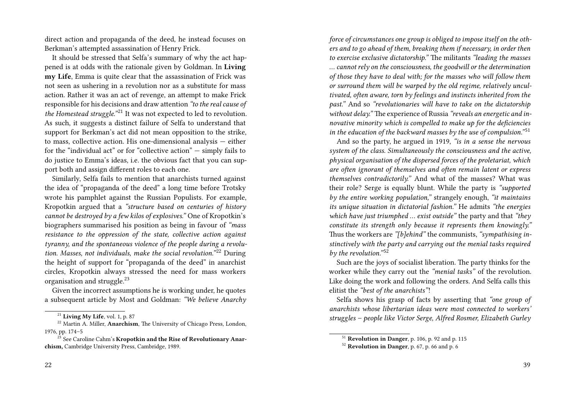direct action and propaganda of the deed, he instead focuses on Berkman's attempted assassination of Henry Frick.

It should be stressed that Selfa's summary of why the act happened is at odds with the rationale given by Goldman. In **Living my Life**, Emma is quite clear that the assassination of Frick was not seen as ushering in a revolution nor as a substitute for mass action. Rather it was an act of revenge, an attempt to make Frick responsible for his decisions and draw attention *"to the real cause of the Homestead struggle.*"<sup>21</sup> It was not expected to led to revolution. As such, it suggests a distinct failure of Selfa to understand that support for Berkman's act did not mean opposition to the strike, to mass, collective action. His one-dimensional analysis — either for the "individual act" or for "collective action"  $-$  simply fails to do justice to Emma's ideas, i.e. the obvious fact that you can support both and assign different roles to each one.

Similarly, Selfa fails to mention that anarchists turned against the idea of "propaganda of the deed" a long time before Trotsky wrote his pamphlet against the Russian Populists. For example, Kropotkin argued that a *"structure based on centuries of history cannot be destroyed by a few kilos of explosives."* One of Kropotkin's biographers summarised his position as being in favour of *"mass resistance to the oppression of the state, collective action against tyranny, and the spontaneous violence of the people during a revolution. Masses, not individuals, make the social revolution.*"<sup>22</sup> During the height of support for "propaganda of the deed" in anarchist circles, Kropotkin always stressed the need for mass workers organisation and struggle.<sup>23</sup>

Given the incorrect assumptions he is working under, he quotes a subsequent article by Most and Goldman: *"We believe Anarchy* *force of circumstances one group is obliged to impose itself on the others and to go ahead of them, breaking them if necessary, in order then to exercise exclusive dictatorship."* The militants *"leading the masses … cannot rely on the consciousness, the goodwill or the determination of those they have to deal with; for the masses who will follow them or surround them will be warped by the old regime, relatively uncultivated, often aware, torn by feelings and instincts inherited from the past."* And so *"revolutionaries will have to take on the dictatorship without delay."* The experience of Russia *"reveals an energetic and innovative minority which is compelled to make up for the deficiencies in the education of the backward masses by the use of compulsion.*"<sup>51</sup>

And so the party, he argued in 1919, *"is in a sense the nervous system of the class. Simultaneously the consciousness and the active, physical organisation of the dispersed forces of the proletariat, which are often ignorant of themselves and often remain latent or express themselves contradictorily."* And what of the masses? What was their role? Serge is equally blunt. While the party is *"supported by the entire working population,"* strangely enough, *"it maintains its unique situation in dictatorial fashion."* He admits *"the energies which have just triumphed … exist outside"* the party and that *"they constitute its strength only because it represents them knowingly."* Thus the workers are *"[b]ehind"* the communists, *"sympathising instinctively with the party and carrying out the menial tasks required by the revolution.*"<sup>52</sup>

Such are the joys of socialist liberation. The party thinks for the worker while they carry out the *"menial tasks"* of the revolution. Like doing the work and following the orders. And Selfa calls this elitist the *"best of the anarchists"*!

Selfa shows his grasp of facts by asserting that *"one group of anarchists whose libertarian ideas were most connected to workers' struggles – people like Victor Serge, Alfred Rosmer, Elizabeth Gurley*

<sup>21</sup> **Living My Life**, vol. 1, p. 87

<sup>&</sup>lt;sup>22</sup> Martin A. Miller, **Anarchism**, The University of Chicago Press, London, 1976, pp. 174–5

<sup>23</sup> See Caroline Cahm's **Kropotkin and the Rise of Revolutionary Anarchism,** Cambridge University Press, Cambridge, 1989.

<sup>51</sup> **Revolution in Danger**, p. 106, p. 92 and p. 115

<sup>52</sup> **Revolution in Danger**, p. 67, p. 66 and p. 6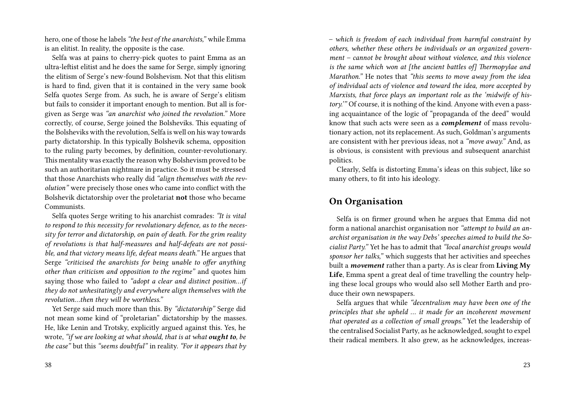hero, one of those he labels *"the best of the anarchists,"* while Emma is an elitist. In reality, the opposite is the case.

Selfa was at pains to cherry-pick quotes to paint Emma as an ultra-leftist elitist and he does the same for Serge, simply ignoring the elitism of Serge's new-found Bolshevism. Not that this elitism is hard to find, given that it is contained in the very same book Selfa quotes Serge from. As such, he is aware of Serge's elitism but fails to consider it important enough to mention. But all is forgiven as Serge was *"an anarchist who joined the revolution."* More correctly, of course, Serge joined the Bolsheviks. This equating of the Bolsheviks with the revolution, Selfa is well on his way towards party dictatorship. In this typically Bolshevik schema, opposition to the ruling party becomes, by definition, counter-revolutionary. This mentality was exactly the reason why Bolshevism proved to be such an authoritarian nightmare in practice. So it must be stressed that those Anarchists who really did *"align themselves with the revolution"* were precisely those ones who came into conflict with the Bolshevik dictatorship over the proletariat **not** those who became Communists.

Selfa quotes Serge writing to his anarchist comrades: *"It is vital to respond to this necessity for revolutionary defence, as to the necessity for terror and dictatorship, on pain of death. For the grim reality of revolutions is that half-measures and half-defeats are not possible, and that victory means life, defeat means death."* He argues that Serge *"criticised the anarchists for being unable to offer anything other than criticism and opposition to the regime"* and quotes him saying those who failed to *"adopt a clear and distinct position…if they do not unhesitatingly and everywhere align themselves with the revolution…then they will be worthless."*

Yet Serge said much more than this. By *"dictatorship"* Serge did not mean some kind of "proletarian" dictatorship by the masses. He, like Lenin and Trotsky, explicitly argued against this. Yes, he wrote, *"if we are looking at what should, that is at what ought to, be the case"* but this *"seems doubtful"* in reality. *"For it appears that by* *– which is freedom of each individual from harmful constraint by others, whether these others be individuals or an organized government – cannot be brought about without violence, and this violence is the same which won at [the ancient battles of] Thermopylae and Marathon."* He notes that *"this seems to move away from the idea of individual acts of violence and toward the idea, more accepted by Marxists, that force plays an important role as the 'midwife of history.'"* Of course, it is nothing of the kind. Anyone with even a passing acquaintance of the logic of "propaganda of the deed" would know that such acts were seen as a *complement* of mass revolutionary action, not its replacement. As such, Goldman's arguments are consistent with her previous ideas, not a *"move away."* And, as is obvious, is consistent with previous and subsequent anarchist politics.

Clearly, Selfa is distorting Emma's ideas on this subject, like so many others, to fit into his ideology.

#### **On Organisation**

Selfa is on firmer ground when he argues that Emma did not form a national anarchist organisation nor *"attempt to build an anarchist organisation in the way Debs' speeches aimed to build the Socialist Party."* Yet he has to admit that *"local anarchist groups would sponsor her talks,"* which suggests that her activities and speeches built a *movement* rather than a party. As is clear from **Living My Life**, Emma spent a great deal of time travelling the country helping these local groups who would also sell Mother Earth and produce their own newspapers.

Selfa argues that while *"decentralism may have been one of the principles that she upheld … it made for an incoherent movement that operated as a collection of small groups."* Yet the leadership of the centralised Socialist Party, as he acknowledged, sought to expel their radical members. It also grew, as he acknowledges, increas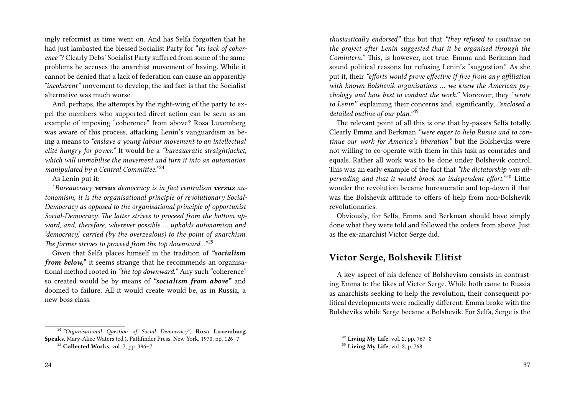ingly reformist as time went on. And has Selfa forgotten that he had just lambasted the blessed Socialist Party for "*its lack of coherence"*? Clearly Debs' Socialist Party suffered from some of the same problems he accuses the anarchist movement of having. While it cannot be denied that a lack of federation can cause an apparently *"incoherent"* movement to develop, the sad fact is that the Socialist alternative was much worse.

And, perhaps, the attempts by the right-wing of the party to expel the members who supported direct action can be seen as an example of imposing "coherence" from above? Rosa Luxemberg was aware of this process, attacking Lenin's vanguardism as being a means to *"enslave a young labour movement to an intellectual elite hungry for power."* It would be a *"bureaucratic straightjacket, which will immobilise the movement and turn it into an automation manipulated by a Central Committee.*"<sup>24</sup>

#### As Lenin put it:

*"Bureaucracy versus democracy is in fact centralism versus autonomism; it is the organisational principle of revolutionary Social-Democracy as opposed to the organisational principle of opportunist Social-Democracy. The latter strives to proceed from the bottom upward, and, therefore, wherever possible … upholds autonomism and 'democracy,' carried (by the overzealous) to the point of anarchism. The former strives to proceed from the top downward...*"<sup>25</sup>

Given that Selfa places himself in the tradition of *"socialism from below*," it seems strange that he recommends an organisational method rooted in *"the top downward."* Any such "coherence" so created would be by means of *"socialism from above"* and doomed to failure. All it would create would be, as in Russia, a new boss class.

*thusiastically endorsed"* this but that *"they refused to continue on the project after Lenin suggested that it be organised through the Comintern."* This, is however, not true. Emma and Berkman had sound political reasons for refusing Lenin's "suggestion." As she put it, their *"efforts would prove effective if free from any affiliation with known Bolshevik organisations … we knew the American psychology and how best to conduct the work."* Moreover, they *"wrote to Lenin"* explaining their concerns and, significantly, *"enclosed a detailed outline of our plan.*"<sup>49</sup>

The relevant point of all this is one that by-passes Selfa totally. Clearly Emma and Berkman *"were eager to help Russia and to continue our work for America's liberation"* but the Bolsheviks were not willing to co-operate with them in this task as comrades and equals. Rather all work was to be done under Bolshevik control. This was an early example of the fact that *"the dictatorship was allpervading and that it would brook no independent effort.*"<sup>50</sup> Little wonder the revolution became bureaucratic and top-down if that was the Bolshevik attitude to offers of help from non-Bolshevik revolutionaries.

Obviously, for Selfa, Emma and Berkman should have simply done what they were told and followed the orders from above. Just as the ex-anarchist Victor Serge did.

#### **Victor Serge, Bolshevik Elitist**

A key aspect of his defence of Bolshevism consists in contrasting Emma to the likes of Victor Serge. While both came to Russia as anarchists seeking to help the revolution, their consequent political developments were radically different. Emma broke with the Bolsheviks while Serge became a Bolshevik. For Selfa, Serge is the

<sup>24</sup> *"Organisational Question of Social Democracy"*, **Rosa Luxemburg Speaks**, Mary-Alice Waters (ed.), Pathfinder Press, New York, 1970, pp. 126–7

<sup>25</sup> **Collected Works**, vol. 7, pp. 396–7

<sup>49</sup> **Living My Life**, vol. 2, pp. 767–8

<sup>50</sup> **Living My Life**, vol. 2, p. 768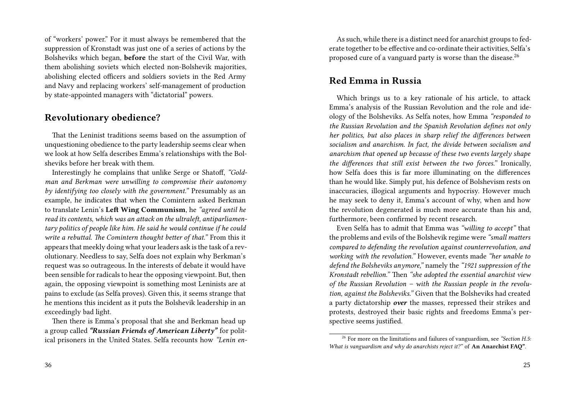of "workers' power." For it must always be remembered that the suppression of Kronstadt was just one of a series of actions by the Bolsheviks which began, **before** the start of the Civil War, with them abolishing soviets which elected non-Bolshevik majorities, abolishing elected officers and soldiers soviets in the Red Army and Navy and replacing workers' self-management of production by state-appointed managers with "dictatorial" powers.

### **Revolutionary obedience?**

That the Leninist traditions seems based on the assumption of unquestioning obedience to the party leadership seems clear when we look at how Selfa describes Emma's relationships with the Bolsheviks before her break with them.

Interestingly he complains that unlike Serge or Shatoff, *"Goldman and Berkman were unwilling to compromise their autonomy by identifying too closely with the government."* Presumably as an example, he indicates that when the Comintern asked Berkman to translate Lenin's **Left Wing Communism**, he *"agreed until he read its contents, which was an attack on the ultraleft, antiparliamentary politics of people like him. He said he would continue if he could write a rebuttal. The Comintern thought better of that."* From this it appears that meekly doing what your leaders ask is the task of a revolutionary. Needless to say, Selfa does not explain why Berkman's request was so outrageous. In the interests of debate it would have been sensible for radicals to hear the opposing viewpoint. But, then again, the opposing viewpoint is something most Leninists are at pains to exclude (as Selfa proves). Given this, it seems strange that he mentions this incident as it puts the Bolshevik leadership in an exceedingly bad light.

Then there is Emma's proposal that she and Berkman head up a group called *"Russian Friends of American Liberty"* for political prisoners in the United States. Selfa recounts how *"Lenin en-*

As such, while there is a distinct need for anarchist groups to federate together to be effective and co-ordinate their activities, Selfa's proposed cure of a vanguard party is worse than the disease.<sup>26</sup>

#### **Red Emma in Russia**

Which brings us to a key rationale of his article, to attack Emma's analysis of the Russian Revolution and the role and ideology of the Bolsheviks. As Selfa notes, how Emma *"responded to the Russian Revolution and the Spanish Revolution defines not only her politics, but also places in sharp relief the differences between socialism and anarchism. In fact, the divide between socialism and anarchism that opened up because of these two events largely shape the differences that still exist between the two forces."* Ironically, how Selfa does this is far more illuminating on the differences than he would like. Simply put, his defence of Bolshevism rests on inaccuracies, illogical arguments and hypocrisy. However much he may seek to deny it, Emma's account of why, when and how the revolution degenerated is much more accurate than his and, furthermore, been confirmed by recent research.

Even Selfa has to admit that Emma was *"willing to accept"* that the problems and evils of the Bolshevik regime were *"small matters compared to defending the revolution against counterrevolution, and working with the revolution."* However, events made *"her unable to defend the Bolsheviks anymore,"* namely the *"1921 suppression of the Kronstadt rebellion."* Then *"she adopted the essential anarchist view of the Russian Revolution – with the Russian people in the revolution, against the Bolsheviks."* Given that the Bolsheviks had created a party dictatorship *over* the masses, repressed their strikes and protests, destroyed their basic rights and freedoms Emma's perspective seems justified.

<sup>26</sup> For more on the limitations and failures of vanguardism, see *"Section H.5: What is vanguardism and why do anarchists reject it?"* of **An Anarchist FAQ"**.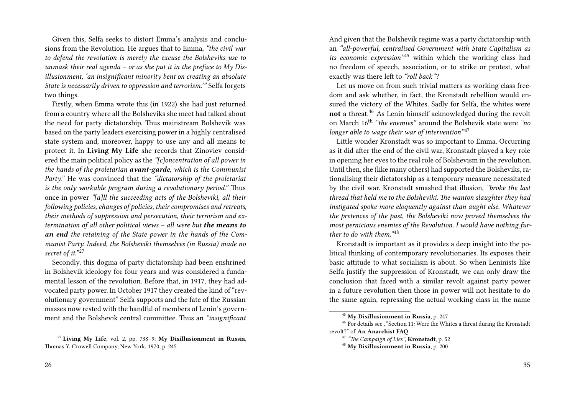Given this, Selfa seeks to distort Emma's analysis and conclusions from the Revolution. He argues that to Emma, *"the civil war to defend the revolution is merely the excuse the Bolsheviks use to unmask their real agenda – or as she put it in the preface to My Disillusionment, 'an insignificant minority bent on creating an absolute State is necessarily driven to oppression and terrorism.'"* Selfa forgets two things.

Firstly, when Emma wrote this (in 1922) she had just returned from a country where all the Bolsheviks she meet had talked about the need for party dictatorship. Thus mainstream Bolshevik was based on the party leaders exercising power in a highly centralised state system and, moreover, happy to use any and all means to protect it. In **Living My Life** she records that Zinoviev considered the main political policy as the *"[c]oncentration of all power in the hands of the proletarian avant-garde, which is the Communist Party."* He was convinced that the *"dictatorship of the proletariat is the only workable program during a revolutionary period."* Thus once in power *"[a]ll the succeeding acts of the Bolsheviki, all their following policies, changes of policies, their compromises and retreats, their methods of suppression and persecution, their terrorism and extermination of all other political views – all were but the means to an end the retaining of the State power in the hands of the Communist Party. Indeed, the Bolsheviki themselves (in Russia) made no* secret of it."<sup>27</sup>

Secondly, this dogma of party dictatorship had been enshrined in Bolshevik ideology for four years and was considered a fundamental lesson of the revolution. Before that, in 1917, they had advocated party power. In October 1917 they created the kind of "revolutionary government" Selfa supports and the fate of the Russian masses now rested with the handful of members of Lenin's government and the Bolshevik central committee. Thus an *"insignificant*

<sup>27</sup> **Living My Life**, vol. 2, pp. 738–9; **My Disillusionment in Russia**, Thomas Y. Crowell Company, New York, 1970, p. 245

And given that the Bolshevik regime was a party dictatorship with an *"all-powerful, centralised Government with State Capitalism as its economic expression*<sup>245</sup> within which the working class had no freedom of speech, association, or to strike or protest, what exactly was there left to *"roll back"*?

Let us move on from such trivial matters as working class freedom and ask whether, in fact, the Kronstadt rebellion would ensured the victory of the Whites. Sadly for Selfa, the whites were **not** a threat.<sup>46</sup> As Lenin himself acknowledged during the revolt on March 16th *"the enemies"* around the Bolshevik state were *"no longer able to wage their war of intervention*<sup>347</sup>

Little wonder Kronstadt was so important to Emma. Occurring as it did after the end of the civil war, Kronstadt played a key role in opening her eyes to the real role of Bolshevism in the revolution. Until then, she (like many others) had supported the Bolsheviks, rationalising their dictatorship as a temporary measure necessitated by the civil war. Kronstadt smashed that illusion, *"broke the last thread that held me to the Bolsheviki. The wanton slaughter they had instigated spoke more eloquently against than aught else. Whatever the pretences of the past, the Bolsheviki now proved themselves the most pernicious enemies of the Revolution. I would have nothing further to do with them.*"<sup>48</sup>

Kronstadt is important as it provides a deep insight into the political thinking of contemporary revolutionaries. Its exposes their basic attitude to what socialism is about. So when Leninists like Selfa justify the suppression of Kronstadt, we can only draw the conclusion that faced with a similar revolt against party power in a future revolution then those in power will not hesitate to do the same again, repressing the actual working class in the name

<sup>45</sup> **My Disillusionment in Russia**, p. 247

<sup>46</sup> For details see , "Section 11: Were the Whites a threat during the Kronstadt revolt?" of **An Anarchist FAQ**

<sup>47</sup> *"The Campaign of Lies"*, **Kronstadt**, p. 52

<sup>48</sup> **My Disillusionment in Russia**, p. 200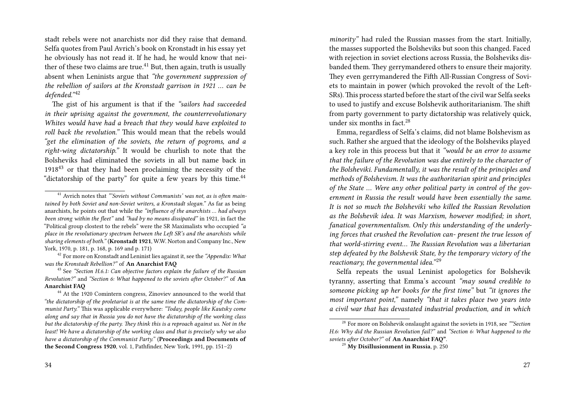stadt rebels were not anarchists nor did they raise that demand. Selfa quotes from Paul Avrich's book on Kronstadt in his essay yet he obviously has not read it. If he had, he would know that neither of these two claims are true.<sup>41</sup> But, then again, truth is usually absent when Leninists argue that *"the government suppression of the rebellion of sailors at the Kronstadt garrison in 1921 … can be* defended."<sup>42</sup>

The gist of his argument is that if the *"sailors had succeeded in their uprising against the government, the counterrevolutionary Whites would have had a breach that they would have exploited to roll back the revolution."* This would mean that the rebels would *"get the elimination of the soviets, the return of pogroms, and a right-wing dictatorship."* It would be churlish to note that the Bolsheviks had eliminated the soviets in all but name back in  $1918<sup>43</sup>$  or that they had been proclaiming the necessity of the "dictatorship of the party" for quite a few years by this time. $44$ 

*minority"* had ruled the Russian masses from the start. Initially, the masses supported the Bolsheviks but soon this changed. Faced with rejection in soviet elections across Russia, the Bolsheviks disbanded them. They gerrymandered others to ensure their majority. They even gerrymandered the Fifth All-Russian Congress of Soviets to maintain in power (which provoked the revolt of the Left-SRs).This process started before the start of the civil war Selfa seeks to used to justify and excuse Bolshevik authoritarianism. The shift from party government to party dictatorship was relatively quick, under six months in fact. $28$ 

Emma, regardless of Selfa's claims, did not blame Bolshevism as such. Rather she argued that the ideology of the Bolsheviks played a key role in this process but that it *"would be an error to assume that the failure of the Revolution was due entirely to the character of the Bolsheviki. Fundamentally, it was the result of the principles and methods of Bolshevism. It was the authoritarian spirit and principles of the State … Were any other political party in control of the government in Russia the result would have been essentially the same. It is not so much the Bolsheviki who killed the Russian Revolution as the Bolshevik idea. It was Marxism, however modified; in short, fanatical governmentalism. Only this understanding of the underlying forces that crushed the Revolution can- present the true lesson of that world-stirring event… The Russian Revolution was a libertarian step defeated by the Bolshevik State, by the temporary victory of the reactionary, the governmental idea.*"<sup>29</sup>

Selfa repeats the usual Leninist apologetics for Bolshevik tyranny, asserting that Emma's account *"may sound credible to someone picking up her books for the first time"* but *"it ignores the most important point,"* namely *"that it takes place two years into a civil war that has devastated industrial production, and in which*

<sup>41</sup> Avrich notes that *"'Soviets without Communists' was not, as is often maintained by both Soviet and non-Soviet writers, a Kronstadt slogan."* As far as being anarchists, he points out that while the *"influence of the anarchists … had always been strong within the fleet"* and *"had by no means dissipated"* in 1921, in fact the "Political group clostest to the rebels" were the SR Maximalists who occupied *"a place in the revolutionary spectrum between the Left SR's and the anarchists while sharing elements of both."* (**Kronstadt 1921**, W.W. Norton and Company Inc., New York, 1970, p. 181, p. 168, p. 169 and p. 171)

<sup>42</sup> For more on Kronstadt and Leninist lies against it, see the *"Appendix: What was the Kronstadt Rebellion?"* of **An Anarchist FAQ**

<sup>43</sup> See *"Section H.6.1: Can objective factors explain the failure of the Russian Revolution?"* and *"Section 6: What happened to the soviets after October?"* of **An Anarchist FAQ**

<sup>&</sup>lt;sup>44</sup> At the 1920 Comintern congress, Zinoviev announced to the world that *"the dictatorship of the proletariat is at the same time the dictatorship of the Communist Party."* This was applicable everywhere: *"Today, people like Kautsky come along and say that in Russia you do not have the dictatorship of the working class but the dictatorship of the party. They think this is a reproach against us. Not in the least! We have a dictatorship of the working class and that is precisely why we also have a dictatorship of the Communist Party."* (**Proceedings and Documents of the Second Congress 1920**, vol. 1, Pathfinder, New York, 1991, pp. 151–2)

<sup>28</sup> For more on Bolshevik onslaught against the soviets in 1918, see *""Section H.6: Why did the Russian Revolution fail?"* and *"Section 6: What happened to the soviets after October?"* of **An Anarchist FAQ"**.

<sup>29</sup> **My Disillusionment in Russia**, p. 250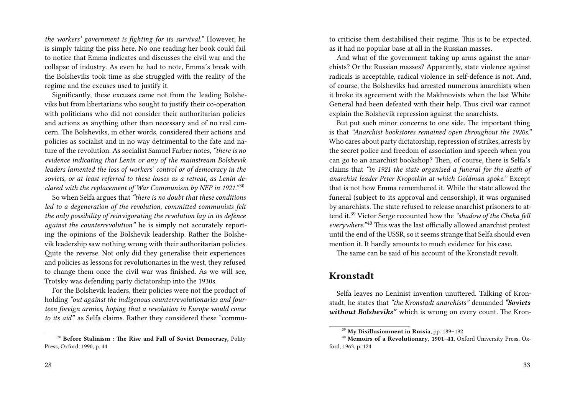*the workers' government is fighting for its survival."* However, he is simply taking the piss here. No one reading her book could fail to notice that Emma indicates and discusses the civil war and the collapse of industry. As even he had to note, Emma's break with the Bolsheviks took time as she struggled with the reality of the regime and the excuses used to justify it.

Significantly, these excuses came not from the leading Bolsheviks but from libertarians who sought to justify their co-operation with politicians who did not consider their authoritarian policies and actions as anything other than necessary and of no real concern. The Bolsheviks, in other words, considered their actions and policies as socialist and in no way detrimental to the fate and nature of the revolution. As socialist Samuel Farber notes, *"there is no evidence indicating that Lenin or any of the mainstream Bolshevik leaders lamented the loss of workers' control or of democracy in the soviets, or at least referred to these losses as a retreat, as Lenin declared with the replacement of War Communism by NEP in 1921."* <sup>30</sup>

So when Selfa argues that *"there is no doubt that these conditions led to a degeneration of the revolution, committed communists felt the only possibility of reinvigorating the revolution lay in its defence against the counterrevolution"* he is simply not accurately reporting the opinions of the Bolshevik leadership. Rather the Bolshevik leadership saw nothing wrong with their authoritarian policies. Quite the reverse. Not only did they generalise their experiences and policies as lessons for revolutionaries in the west, they refused to change them once the civil war was finished. As we will see, Trotsky was defending party dictatorship into the 1930s.

For the Bolshevik leaders, their policies were not the product of holding *"out against the indigenous counterrevolutionaries and fourteen foreign armies, hoping that a revolution in Europe would come to its aid"* as Selfa claims. Rather they considered these "commu-

to criticise them destabilised their regime. This is to be expected, as it had no popular base at all in the Russian masses.

And what of the government taking up arms against the anarchists? Or the Russian masses? Apparently, state violence against radicals is acceptable, radical violence in self-defence is not. And, of course, the Bolsheviks had arrested numerous anarchists when it broke its agreement with the Makhnovists when the last White General had been defeated with their help. Thus civil war cannot explain the Bolshevik repression against the anarchists.

But put such minor concerns to one side. The important thing is that *"Anarchist bookstores remained open throughout the 1920s."* Who cares about party dictatorship, repression of strikes, arrests by the secret police and freedom of association and speech when you can go to an anarchist bookshop? Then, of course, there is Selfa's claims that *"in 1921 the state organised a funeral for the death of anarchist leader Peter Kropotkin at which Goldman spoke."* Except that is not how Emma remembered it. While the state allowed the funeral (subject to its approval and censorship), it was organised by anarchists. The state refused to release anarchist prisoners to attend it.<sup>39</sup> Victor Serge recounted how the *"shadow of the Cheka fell everywhere.*"<sup>40</sup> This was the last officially allowed anarchist protest until the end of the USSR, so it seems strange that Selfa should even mention it. It hardly amounts to much evidence for his case.

The same can be said of his account of the Kronstadt revolt.

#### **Kronstadt**

Selfa leaves no Leninist invention unuttered. Talking of Kronstadt, he states that *"the Kronstadt anarchists"* demanded *"Soviets without Bolsheviks"* which is wrong on every count. The Kron-

<sup>30</sup> **Before Stalinism : The Rise and Fall of Soviet Democracy,** Polity Press, Oxford, 1990, p. 44

<sup>39</sup> **My Disillusionment in Russia**, pp. 189–192

<sup>40</sup> **Memoirs of a Revolutionary**, **1901–41**, Oxford University Press, Oxford, 1963. p. 124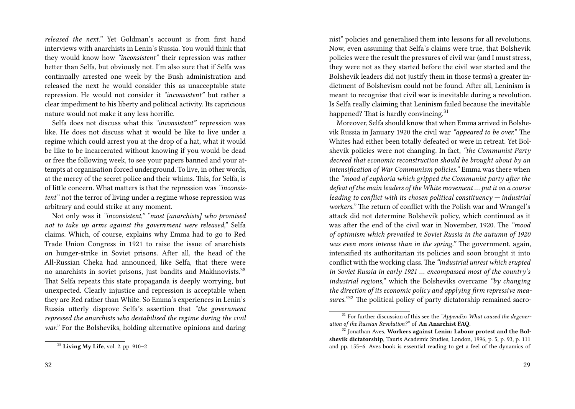*released the next."* Yet Goldman's account is from first hand interviews with anarchists in Lenin's Russia. You would think that they would know how *"inconsistent"* their repression was rather better than Selfa, but obviously not. I'm also sure that if Selfa was continually arrested one week by the Bush administration and released the next he would consider this as unacceptable state repression. He would not consider it *"inconsistent"* but rather a clear impediment to his liberty and political activity. Its capricious nature would not make it any less horrific.

Selfa does not discuss what this *"inconsistent"* repression was like. He does not discuss what it would be like to live under a regime which could arrest you at the drop of a hat, what it would be like to be incarcerated without knowing if you would be dead or free the following week, to see your papers banned and your attempts at organisation forced underground. To live, in other words, at the mercy of the secret police and their whims. This, for Selfa, is of little concern. What matters is that the repression was *"inconsistent"* not the terror of living under a regime whose repression was arbitrary and could strike at any moment.

Not only was it *"inconsistent," "most [anarchists] who promised not to take up arms against the government were released,"* Selfa claims. Which, of course, explains why Emma had to go to Red Trade Union Congress in 1921 to raise the issue of anarchists on hunger-strike in Soviet prisons. After all, the head of the All-Russian Cheka had announced, like Selfa, that there were no anarchists in soviet prisons, just bandits and Makhnovists.<sup>38</sup> That Selfa repeats this state propaganda is deeply worrying, but unexpected. Clearly injustice and repression is acceptable when they are Red rather than White. So Emma's experiences in Lenin's Russia utterly disprove Selfa's assertion that *"the government repressed the anarchists who destabilised the regime during the civil war."* For the Bolsheviks, holding alternative opinions and daring nist" policies and generalised them into lessons for all revolutions. Now, even assuming that Selfa's claims were true, that Bolshevik policies were the result the pressures of civil war (and I must stress, they were not as they started before the civil war started and the Bolshevik leaders did not justify them in those terms) a greater indictment of Bolshevism could not be found. After all, Leninism is meant to recognise that civil war is inevitable during a revolution. Is Selfa really claiming that Leninism failed because the inevitable happened? That is hardly convincing.<sup>31</sup>

Moreover, Selfa should know that when Emma arrived in Bolshevik Russia in January 1920 the civil war *"appeared to be over."* The Whites had either been totally defeated or were in retreat. Yet Bolshevik policies were not changing. In fact, *"the Communist Party decreed that economic reconstruction should be brought about by an intensification of War Communism policies."* Emma was there when the *"mood of euphoria which gripped the Communist party after the defeat of the main leaders of the White movement … put it on a course leading to conflict with its chosen political constituency — industrial workers."* The return of conflict with the Polish war and Wrangel's attack did not determine Bolshevik policy, which continued as it was after the end of the civil war in November, 1920. The *"mood of optimism which prevailed in Soviet Russia in the autumn of 1920 was even more intense than in the spring."* The government, again, intensified its authoritarian its policies and soon brought it into conflict with the working class. The *"industrial unrest which erupted in Soviet Russia in early 1921 … encompassed most of the country's industrial regions,"* which the Bolsheviks overcame *"by changing the direction of its economic policy and applying firm repressive mea*sures."<sup>32</sup> The political policy of party dictatorship remained sacro-

<sup>38</sup> **Living My Life**, vol. 2, pp. 910–2

<sup>31</sup> For further discussion of this see the *"Appendix: What caused the degeneration of the Russian Revolution?"* of **An Anarchist FAQ**.

<sup>&</sup>lt;sup>32</sup> Jonathan Aves, Workers against Lenin: Labour protest and the Bol**shevik dictatorship**, Tauris Academic Studies, London, 1996, p. 5, p. 93, p. 111 and pp. 155–6. Aves book is essential reading to get a feel of the dynamics of